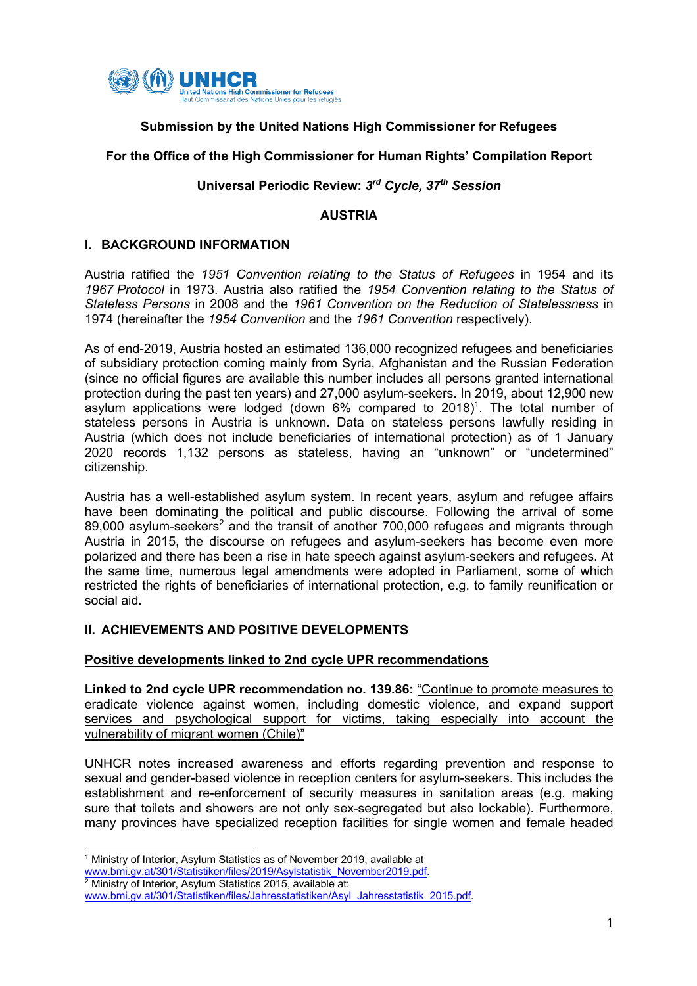

# **Submission by the United Nations High Commissioner for Refugees**

### **For the Office of the High Commissioner for Human Rights' Compilation Report**

#### **Universal Periodic Review:** *3rd Cycle, 37th Session*

#### **AUSTRIA**

#### **I. BACKGROUND INFORMATION**

Austria ratified the *1951 Convention relating to the Status of Refugees* in 1954 and its *1967 Protocol* in 1973. Austria also ratified the *1954 Convention relating to the Status of Stateless Persons* in 2008 and the *1961 Convention on the Reduction of Statelessness* in 1974 (hereinafter the *1954 Convention* and the *1961 Convention* respectively).

As of end-2019, Austria hosted an estimated 136,000 recognized refugees and beneficiaries of subsidiary protection coming mainly from Syria, Afghanistan and the Russian Federation (since no official figures are available this number includes all persons granted international protection during the past ten years) and 27,000 asylum-seekers. In 2019, about 12,900 new asylum applications were lodged (down  $6\%$  compared to  $2018$ )<sup>1</sup>. The total number of stateless persons in Austria is unknown. Data on stateless persons lawfully residing in Austria (which does not include beneficiaries of international protection) as of 1 January 2020 records 1,132 persons as stateless, having an "unknown" or "undetermined" citizenship.

Austria has a well-established asylum system. In recent years, asylum and refugee affairs have been dominating the political and public discourse. Following the arrival of some 89,000 asylum-seekers<sup>2</sup> and the transit of another  $700,000$  refugees and migrants through Austria in 2015, the discourse on refugees and asylum-seekers has become even more polarized and there has been a rise in hate speech against asylum-seekers and refugees. At the same time, numerous legal amendments were adopted in Parliament, some of which restricted the rights of beneficiaries of international protection, e.g. to family reunification or social aid.

### **II. ACHIEVEMENTS AND POSITIVE DEVELOPMENTS**

### **Positive developments linked to 2nd cycle UPR recommendations**

**Linked to 2nd cycle UPR recommendation no. 139.86:** "Continue to promote measures to eradicate violence against women, including domestic violence, and expand support services and psychological support for victims, taking especially into account the vulnerability of migrant women (Chile)"

UNHCR notes increased awareness and efforts regarding prevention and response to sexual and gender-based violence in reception centers for asylum-seekers. This includes the establishment and re-enforcement of security measures in sanitation areas (e.g. making sure that toilets and showers are not only sex-segregated but also lockable). Furthermore, many provinces have specialized reception facilities for single women and female headed

<sup>1</sup> Ministry of Interior, Asylum Statistics as of November 2019, available at www.bmi.gv.at/301/Statistiken/files/2019/Asylstatistik\_November2019.pdf.

<sup>&</sup>lt;sup>2</sup> Ministry of Interior, Asylum Statistics 2015, available at:

www.bmi.gv.at/301/Statistiken/files/Jahresstatistiken/Asyl\_Jahresstatistik\_2015.pdf.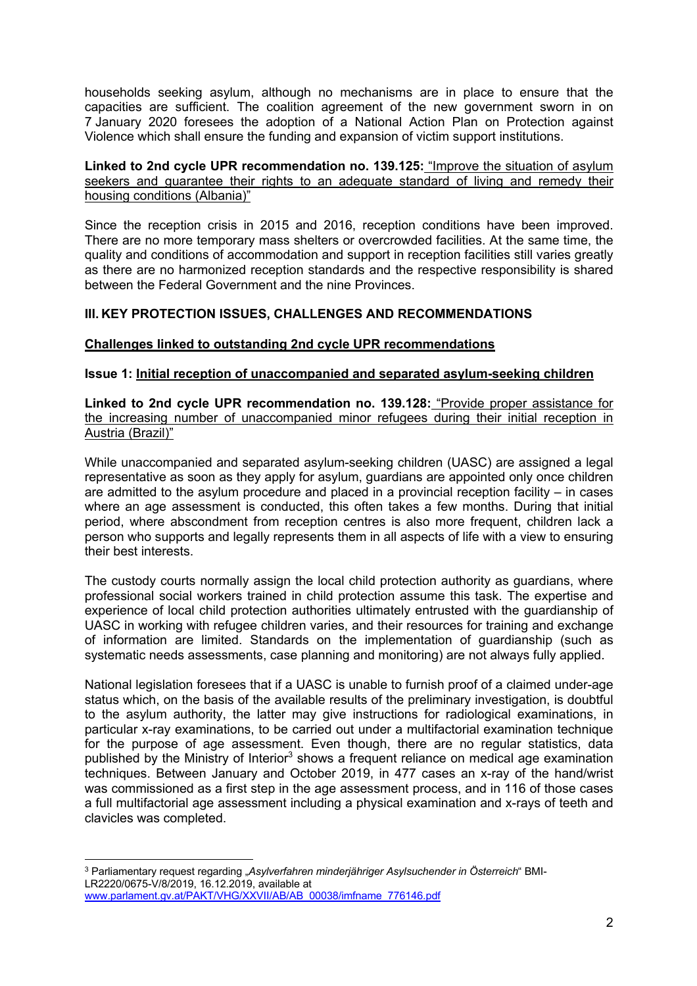households seeking asylum, although no mechanisms are in place to ensure that the capacities are sufficient. The coalition agreement of the new government sworn in on 7 January 2020 foresees the adoption of a National Action Plan on Protection against Violence which shall ensure the funding and expansion of victim support institutions.

#### **Linked to 2nd cycle UPR recommendation no. 139.125:** "Improve the situation of asylum seekers and guarantee their rights to an adequate standard of living and remedy their housing conditions (Albania)"

Since the reception crisis in 2015 and 2016, reception conditions have been improved. There are no more temporary mass shelters or overcrowded facilities. At the same time, the quality and conditions of accommodation and support in reception facilities still varies greatly as there are no harmonized reception standards and the respective responsibility is shared between the Federal Government and the nine Provinces.

## **III. KEY PROTECTION ISSUES, CHALLENGES AND RECOMMENDATIONS**

### **Challenges linked to outstanding 2nd cycle UPR recommendations**

### **Issue 1: Initial reception of unaccompanied and separated asylum-seeking children**

**Linked to 2nd cycle UPR recommendation no. 139.128:** "Provide proper assistance for the increasing number of unaccompanied minor refugees during their initial reception in Austria (Brazil)"

While unaccompanied and separated asylum-seeking children (UASC) are assigned a legal representative as soon as they apply for asylum, guardians are appointed only once children are admitted to the asylum procedure and placed in a provincial reception facility – in cases where an age assessment is conducted, this often takes a few months. During that initial period, where abscondment from reception centres is also more frequent, children lack a person who supports and legally represents them in all aspects of life with a view to ensuring their best interests.

The custody courts normally assign the local child protection authority as guardians, where professional social workers trained in child protection assume this task. The expertise and experience of local child protection authorities ultimately entrusted with the guardianship of UASC in working with refugee children varies, and their resources for training and exchange of information are limited. Standards on the implementation of guardianship (such as systematic needs assessments, case planning and monitoring) are not always fully applied.

National legislation foresees that if a UASC is unable to furnish proof of a claimed under-age status which, on the basis of the available results of the preliminary investigation, is doubtful to the asylum authority, the latter may give instructions for radiological examinations, in particular x-ray examinations, to be carried out under a multifactorial examination technique for the purpose of age assessment. Even though, there are no regular statistics, data published by the Ministry of Interior<sup>3</sup> shows a frequent reliance on medical age examination techniques. Between January and October 2019, in 477 cases an x-ray of the hand/wrist was commissioned as a first step in the age assessment process, and in 116 of those cases a full multifactorial age assessment including a physical examination and x-rays of teeth and clavicles was completed.

<sup>3</sup> Parliamentary request regarding "*Asylverfahren minderjähriger Asylsuchender in Österreich*" BMI-LR2220/0675-V/8/2019, 16.12.2019, available at www.parlament.gv.at/PAKT/VHG/XXVII/AB/AB\_00038/imfname\_776146.pdf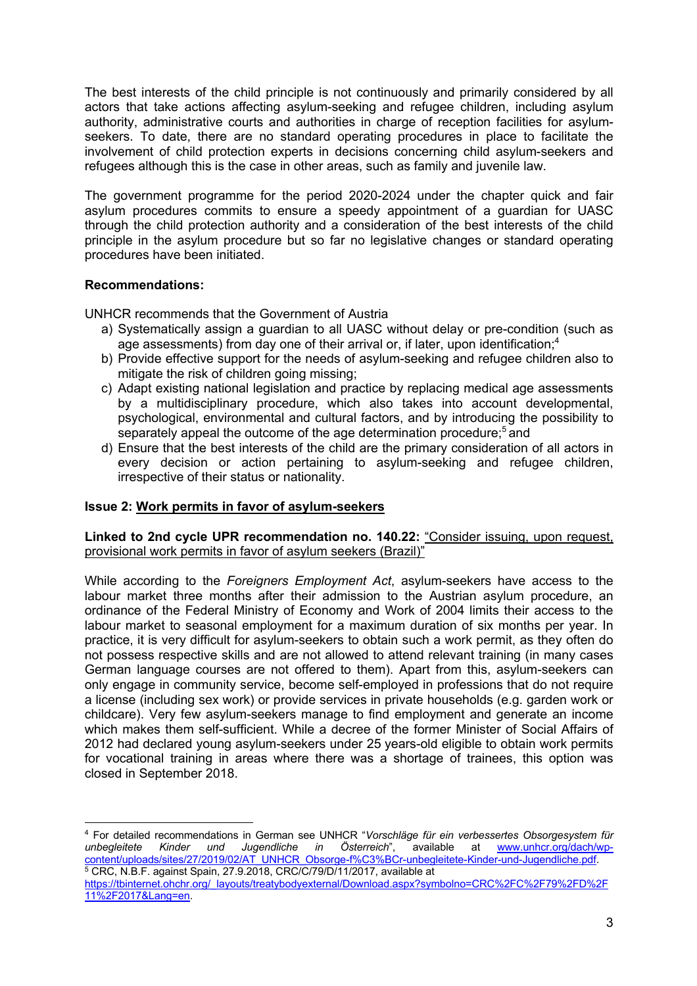The best interests of the child principle is not continuously and primarily considered by all actors that take actions affecting asylum-seeking and refugee children, including asylum authority, administrative courts and authorities in charge of reception facilities for asylumseekers. To date, there are no standard operating procedures in place to facilitate the involvement of child protection experts in decisions concerning child asylum-seekers and refugees although this is the case in other areas, such as family and juvenile law.

The government programme for the period 2020-2024 under the chapter quick and fair asylum procedures commits to ensure a speedy appointment of a guardian for UASC through the child protection authority and a consideration of the best interests of the child principle in the asylum procedure but so far no legislative changes or standard operating procedures have been initiated.

### **Recommendations:**

UNHCR recommends that the Government of Austria

- a) Systematically assign a guardian to all UASC without delay or pre-condition (such as age assessments) from day one of their arrival or, if later, upon identification;<sup>4</sup>
- b) Provide effective support for the needs of asylum-seeking and refugee children also to mitigate the risk of children going missing;
- c) Adapt existing national legislation and practice by replacing medical age assessments by a multidisciplinary procedure, which also takes into account developmental, psychological, environmental and cultural factors, and by introducing the possibility to separately appeal the outcome of the age determination procedure;<sup>5</sup> and
- d) Ensure that the best interests of the child are the primary consideration of all actors in every decision or action pertaining to asylum-seeking and refugee children, irrespective of their status or nationality.

# **Issue 2: Work permits in favor of asylum-seekers**

**Linked to 2nd cycle UPR recommendation no. 140.22:** "Consider issuing, upon request, provisional work permits in favor of asylum seekers (Brazil)"

While according to the *Foreigners Employment Act*, asylum-seekers have access to the labour market three months after their admission to the Austrian asylum procedure, an ordinance of the Federal Ministry of Economy and Work of 2004 limits their access to the labour market to seasonal employment for a maximum duration of six months per year. In practice, it is very difficult for asylum-seekers to obtain such a work permit, as they often do not possess respective skills and are not allowed to attend relevant training (in many cases German language courses are not offered to them). Apart from this, asylum-seekers can only engage in community service, become self-employed in professions that do not require a license (including sex work) or provide services in private households (e.g. garden work or childcare). Very few asylum-seekers manage to find employment and generate an income which makes them self-sufficient. While a decree of the former Minister of Social Affairs of 2012 had declared young asylum-seekers under 25 years-old eligible to obtain work permits for vocational training in areas where there was a shortage of trainees, this option was closed in September 2018.

<sup>4</sup> For detailed recommendations in German see UNHCR "*Vorschläge für ein verbessertes Obsorgesystem für unbegleitete Kinder und Jugendliche in Österreich*", available at www.unhcr.org/dach/wpcontent/uploads/sites/27/2019/02/AT\_UNHCR\_Obsorge-f%C3%BCr-unbegleitete-Kinder-und-Jugendliche.pdf. <sup>5</sup> CRC, N.B.F. against Spain, 27.9.2018, CRC/C/79/D/11/2017, available at

https://tbinternet.ohchr.org/\_layouts/treatybodyexternal/Download.aspx?symbolno=CRC%2FC%2F79%2FD%2F 11%2F2017&Lang=en.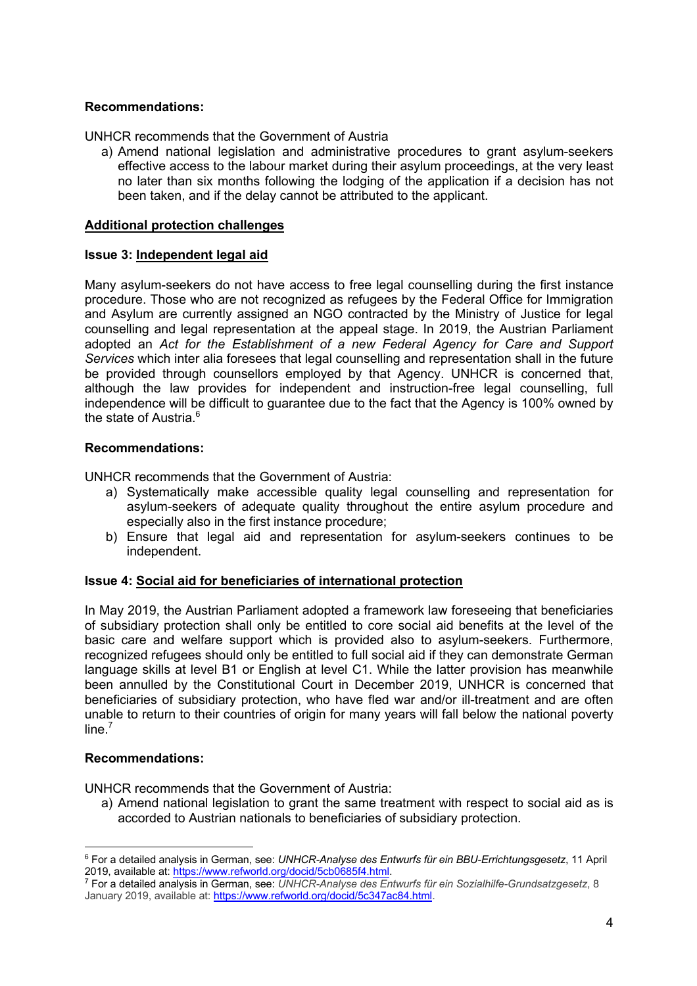## **Recommendations:**

UNHCR recommends that the Government of Austria

a) Amend national legislation and administrative procedures to grant asylum-seekers effective access to the labour market during their asylum proceedings, at the very least no later than six months following the lodging of the application if a decision has not been taken, and if the delay cannot be attributed to the applicant.

#### **Additional protection challenges**

#### **Issue 3: Independent legal aid**

Many asylum-seekers do not have access to free legal counselling during the first instance procedure. Those who are not recognized as refugees by the Federal Office for Immigration and Asylum are currently assigned an NGO contracted by the Ministry of Justice for legal counselling and legal representation at the appeal stage. In 2019, the Austrian Parliament adopted an *Act for the Establishment of a new Federal Agency for Care and Support Services* which inter alia foresees that legal counselling and representation shall in the future be provided through counsellors employed by that Agency. UNHCR is concerned that, although the law provides for independent and instruction-free legal counselling, full independence will be difficult to guarantee due to the fact that the Agency is 100% owned by the state of Austria.<sup>6</sup>

#### **Recommendations:**

UNHCR recommends that the Government of Austria:

- a) Systematically make accessible quality legal counselling and representation for asylum-seekers of adequate quality throughout the entire asylum procedure and especially also in the first instance procedure;
- b) Ensure that legal aid and representation for asylum-seekers continues to be independent.

#### **Issue 4: Social aid for beneficiaries of international protection**

In May 2019, the Austrian Parliament adopted a framework law foreseeing that beneficiaries of subsidiary protection shall only be entitled to core social aid benefits at the level of the basic care and welfare support which is provided also to asylum-seekers. Furthermore, recognized refugees should only be entitled to full social aid if they can demonstrate German language skills at level B1 or English at level C1. While the latter provision has meanwhile been annulled by the Constitutional Court in December 2019, UNHCR is concerned that beneficiaries of subsidiary protection, who have fled war and/or ill-treatment and are often unable to return to their countries of origin for many years will fall below the national poverty line.<sup>7</sup>

### **Recommendations:**

UNHCR recommends that the Government of Austria:

a) Amend national legislation to grant the same treatment with respect to social aid as is accorded to Austrian nationals to beneficiaries of subsidiary protection.

<sup>6</sup> For a detailed analysis in German, see: *UNHCR-Analyse des Entwurfs für ein BBU-Errichtungsgesetz*, 11 April 2019, available at: https://www.refworld.org/docid/5cb0685f4.html.

<sup>7</sup> For a detailed analysis in German, see: *UNHCR-Analyse des Entwurfs für ein Sozialhilfe-Grundsatzgesetz*, 8 January 2019, available at: https://www.refworld.org/docid/5c347ac84.html.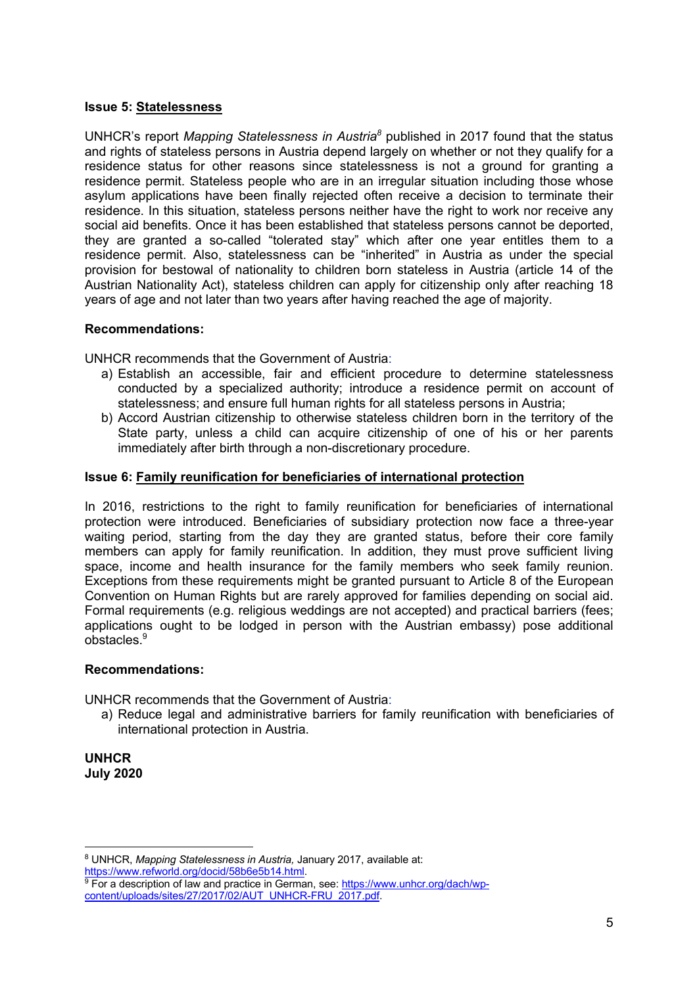### **Issue 5: Statelessness**

UNHCR's report *Mapping Statelessness in Austria8* published in 2017 found that the status and rights of stateless persons in Austria depend largely on whether or not they qualify for a residence status for other reasons since statelessness is not a ground for granting a residence permit. Stateless people who are in an irregular situation including those whose asylum applications have been finally rejected often receive a decision to terminate their residence. In this situation, stateless persons neither have the right to work nor receive any social aid benefits. Once it has been established that stateless persons cannot be deported, they are granted a so-called "tolerated stay" which after one year entitles them to a residence permit. Also, statelessness can be "inherited" in Austria as under the special provision for bestowal of nationality to children born stateless in Austria (article 14 of the Austrian Nationality Act), stateless children can apply for citizenship only after reaching 18 years of age and not later than two years after having reached the age of majority.

### **Recommendations:**

UNHCR recommends that the Government of Austria:

- a) Establish an accessible, fair and efficient procedure to determine statelessness conducted by a specialized authority; introduce a residence permit on account of statelessness; and ensure full human rights for all stateless persons in Austria;
- b) Accord Austrian citizenship to otherwise stateless children born in the territory of the State party, unless a child can acquire citizenship of one of his or her parents immediately after birth through a non-discretionary procedure.

### **Issue 6: Family reunification for beneficiaries of international protection**

In 2016, restrictions to the right to family reunification for beneficiaries of international protection were introduced. Beneficiaries of subsidiary protection now face a three-year waiting period, starting from the day they are granted status, before their core family members can apply for family reunification. In addition, they must prove sufficient living space, income and health insurance for the family members who seek family reunion. Exceptions from these requirements might be granted pursuant to Article 8 of the European Convention on Human Rights but are rarely approved for families depending on social aid. Formal requirements (e.g. religious weddings are not accepted) and practical barriers (fees; applications ought to be lodged in person with the Austrian embassy) pose additional obstacles.<sup>9</sup>

### **Recommendations:**

UNHCR recommends that the Government of Austria:

a) Reduce legal and administrative barriers for family reunification with beneficiaries of international protection in Austria.

**UNHCR July 2020**

<sup>8</sup> UNHCR, *Mapping Statelessness in Austria,* January 2017, available at: https://www.refworld.org/docid/58b6e5b14.html.

<sup>&</sup>lt;sup>9</sup> For a description of law and practice in German, see: https://www.unhcr.org/dach/wpcontent/uploads/sites/27/2017/02/AUT\_UNHCR-FRU\_2017.pdf.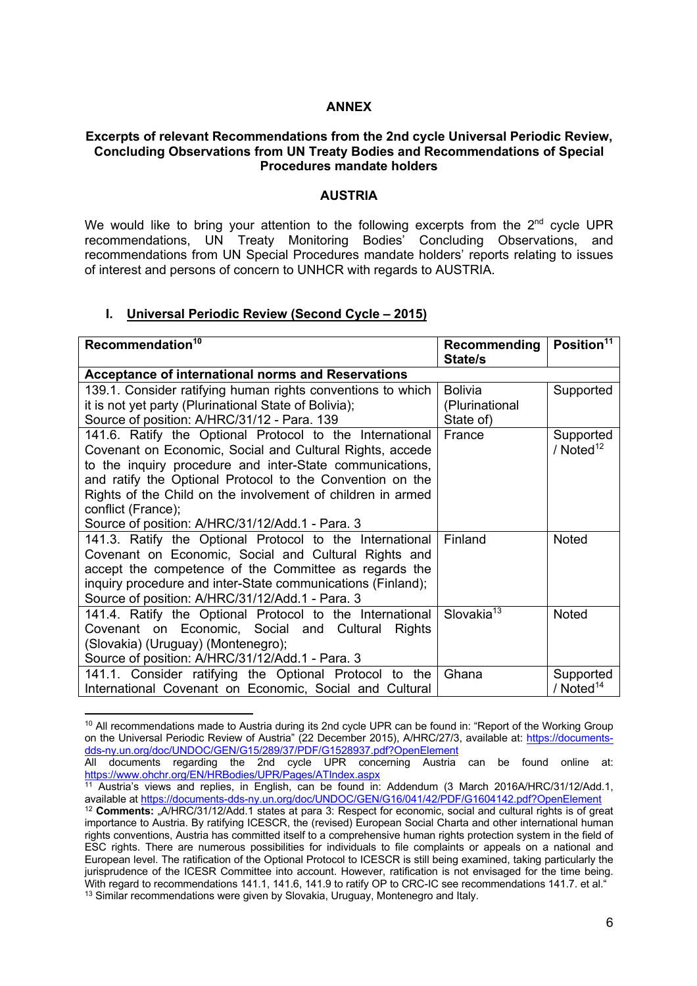#### **ANNEX**

#### **Excerpts of relevant Recommendations from the 2nd cycle Universal Periodic Review, Concluding Observations from UN Treaty Bodies and Recommendations of Special Procedures mandate holders**

#### **AUSTRIA**

We would like to bring your attention to the following excerpts from the  $2<sup>nd</sup>$  cycle UPR recommendations, UN Treaty Monitoring Bodies' Concluding Observations, and recommendations from UN Special Procedures mandate holders' reports relating to issues of interest and persons of concern to UNHCR with regards to AUSTRIA.

#### **I. Universal Periodic Review (Second Cycle – 2015)**

| Recommendation <sup>10</sup>                                | Recommending           | Position <sup>11</sup> |
|-------------------------------------------------------------|------------------------|------------------------|
|                                                             | State/s                |                        |
| <b>Acceptance of international norms and Reservations</b>   |                        |                        |
| 139.1. Consider ratifying human rights conventions to which | <b>Bolivia</b>         | Supported              |
| it is not yet party (Plurinational State of Bolivia);       | (Plurinational         |                        |
| Source of position: A/HRC/31/12 - Para. 139                 | State of)              |                        |
| 141.6. Ratify the Optional Protocol to the International    | France                 | Supported              |
| Covenant on Economic, Social and Cultural Rights, accede    |                        | / Noted $12$           |
| to the inquiry procedure and inter-State communications,    |                        |                        |
| and ratify the Optional Protocol to the Convention on the   |                        |                        |
| Rights of the Child on the involvement of children in armed |                        |                        |
| conflict (France);                                          |                        |                        |
| Source of position: A/HRC/31/12/Add.1 - Para. 3             |                        |                        |
| 141.3. Ratify the Optional Protocol to the International    | Finland                | <b>Noted</b>           |
| Covenant on Economic, Social and Cultural Rights and        |                        |                        |
| accept the competence of the Committee as regards the       |                        |                        |
| inquiry procedure and inter-State communications (Finland); |                        |                        |
| Source of position: A/HRC/31/12/Add.1 - Para. 3             |                        |                        |
| 141.4. Ratify the Optional Protocol to the International    | Slovakia <sup>13</sup> | Noted                  |
| Covenant on Economic, Social and Cultural<br><b>Rights</b>  |                        |                        |
| (Slovakia) (Uruguay) (Montenegro);                          |                        |                        |
| Source of position: A/HRC/31/12/Add.1 - Para. 3             |                        |                        |
| 141.1. Consider ratifying the Optional Protocol to the      | Ghana                  | Supported              |
| International Covenant on Economic, Social and Cultural     |                        | / $Noted14$            |

<sup>&</sup>lt;sup>10</sup> All recommendations made to Austria during its 2nd cycle UPR can be found in: "Report of the Working Group on the Universal Periodic Review of Austria" (22 December 2015), A/HRC/27/3, available at: https://documentsdds-ny.un.org/doc/UNDOC/GEN/G15/289/37/PDF/G1528937.pdf?OpenElement

All documents regarding the 2nd cycle UPR concerning Austria can be found online at: https://www.ohchr.org/EN/HRBodies/UPR/Pages/ATIndex.aspx

<sup>&</sup>lt;sup>11</sup> Austria's views and replies, in English, can be found in: Addendum (3 March 2016A/HRC/31/12/Add.1, available at https://documents-dds-ny.un.org/doc/UNDOC/GEN/G16/041/42/PDF/G1604142.pdf?OpenElement

<sup>&</sup>lt;sup>12</sup> **Comments:** "A/HRC/31/12/Add.1 states at para 3: Respect for economic, social and cultural rights is of great importance to Austria. By ratifying ICESCR, the (revised) European Social Charta and other international human rights conventions, Austria has committed itself to a comprehensive human rights protection system in the field of ESC rights. There are numerous possibilities for individuals to file complaints or appeals on a national and European level. The ratification of the Optional Protocol to ICESCR is still being examined, taking particularly the jurisprudence of the ICESR Committee into account. However, ratification is not envisaged for the time being. With regard to recommendations 141.1, 141.6, 141.9 to ratify OP to CRC-IC see recommendations 141.7. et al." <sup>13</sup> Similar recommendations were given by Slovakia, Uruguay, Montenegro and Italy.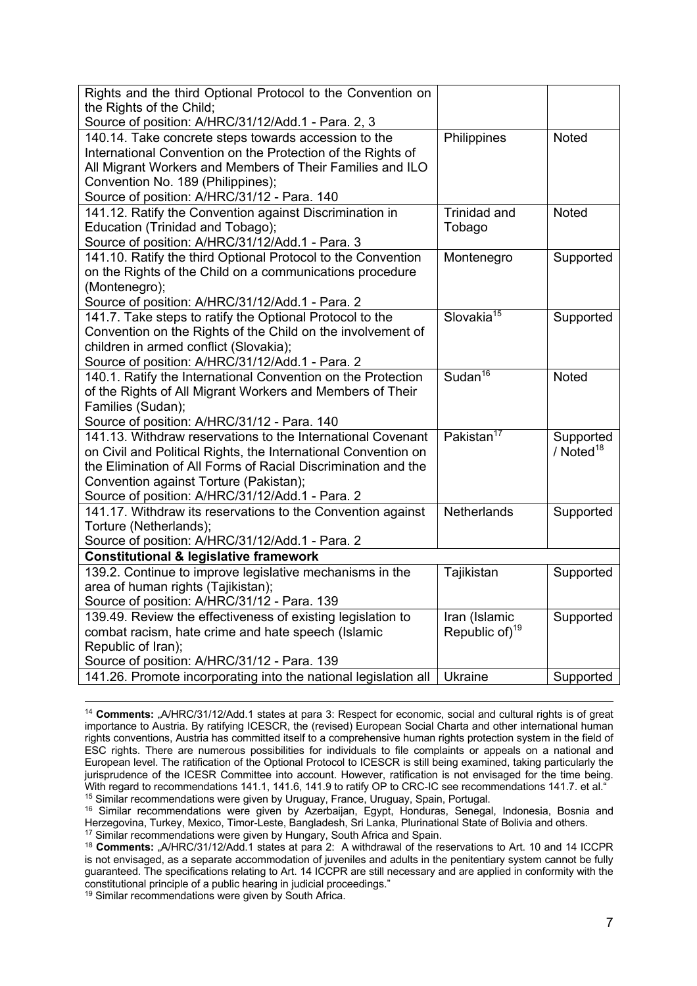| Rights and the third Optional Protocol to the Convention on     |                                 |              |
|-----------------------------------------------------------------|---------------------------------|--------------|
| the Rights of the Child;                                        |                                 |              |
| Source of position: A/HRC/31/12/Add.1 - Para. 2, 3              |                                 |              |
| 140.14. Take concrete steps towards accession to the            | Philippines                     | <b>Noted</b> |
| International Convention on the Protection of the Rights of     |                                 |              |
| All Migrant Workers and Members of Their Families and ILO       |                                 |              |
| Convention No. 189 (Philippines);                               |                                 |              |
| Source of position: A/HRC/31/12 - Para. 140                     |                                 |              |
| 141.12. Ratify the Convention against Discrimination in         | Trinidad and                    | Noted        |
| Education (Trinidad and Tobago);                                | Tobago                          |              |
| Source of position: A/HRC/31/12/Add.1 - Para. 3                 |                                 |              |
| 141.10. Ratify the third Optional Protocol to the Convention    | Montenegro                      | Supported    |
| on the Rights of the Child on a communications procedure        |                                 |              |
| (Montenegro);                                                   |                                 |              |
| Source of position: A/HRC/31/12/Add.1 - Para. 2                 |                                 |              |
| 141.7. Take steps to ratify the Optional Protocol to the        | Slovakia <sup>15</sup>          | Supported    |
| Convention on the Rights of the Child on the involvement of     |                                 |              |
| children in armed conflict (Slovakia);                          |                                 |              |
| Source of position: A/HRC/31/12/Add.1 - Para. 2                 |                                 |              |
| 140.1. Ratify the International Convention on the Protection    | S <sub>udan</sub> <sup>16</sup> | Noted        |
| of the Rights of All Migrant Workers and Members of Their       |                                 |              |
| Families (Sudan);                                               |                                 |              |
| Source of position: A/HRC/31/12 - Para. 140                     |                                 |              |
| 141.13. Withdraw reservations to the International Covenant     | Pakistan <sup>17</sup>          | Supported    |
| on Civil and Political Rights, the International Convention on  |                                 | / Noted $18$ |
| the Elimination of All Forms of Racial Discrimination and the   |                                 |              |
| Convention against Torture (Pakistan);                          |                                 |              |
| Source of position: A/HRC/31/12/Add.1 - Para. 2                 |                                 |              |
| 141.17. Withdraw its reservations to the Convention against     | <b>Netherlands</b>              | Supported    |
| Torture (Netherlands);                                          |                                 |              |
| Source of position: A/HRC/31/12/Add.1 - Para. 2                 |                                 |              |
| <b>Constitutional &amp; legislative framework</b>               |                                 |              |
| 139.2. Continue to improve legislative mechanisms in the        | Tajikistan                      | Supported    |
| area of human rights (Tajikistan);                              |                                 |              |
| Source of position: A/HRC/31/12 - Para. 139                     |                                 |              |
| 139.49. Review the effectiveness of existing legislation to     | Iran (Islamic                   | Supported    |
| combat racism, hate crime and hate speech (Islamic              | Republic of) <sup>19</sup>      |              |
| Republic of Iran);                                              |                                 |              |
| Source of position: A/HRC/31/12 - Para. 139                     |                                 |              |
| 141.26. Promote incorporating into the national legislation all | Ukraine                         | Supported    |

<sup>&</sup>lt;sup>14</sup> Comments: "A/HRC/31/12/Add.1 states at para 3: Respect for economic, social and cultural rights is of great importance to Austria. By ratifying ICESCR, the (revised) European Social Charta and other international human rights conventions, Austria has committed itself to a comprehensive human rights protection system in the field of ESC rights. There are numerous possibilities for individuals to file complaints or appeals on a national and European level. The ratification of the Optional Protocol to ICESCR is still being examined, taking particularly the jurisprudence of the ICESR Committee into account. However, ratification is not envisaged for the time being. With regard to recommendations 141.1, 141.6, 141.9 to ratify OP to CRC-IC see recommendations 141.7. et al. <sup>15</sup> Similar recommendations were given by Uruguay, France, Uruguay, Spain, Portugal.

<sup>16</sup> Similar recommendations were given by Azerbaijan, Egypt, Honduras, Senegal, Indonesia, Bosnia and Herzegovina, Turkey, Mexico, Timor-Leste, Bangladesh, Sri Lanka, Plurinational State of Bolivia and others. <sup>17</sup> Similar recommendations were given by Hungary, South Africa and Spain.

<sup>&</sup>lt;sup>18</sup> **Comments:** "A/HRC/31/12/Add.1 states at para 2: A withdrawal of the reservations to Art. 10 and 14 ICCPR is not envisaged, as a separate accommodation of juveniles and adults in the penitentiary system cannot be fully guaranteed. The specifications relating to Art. 14 ICCPR are still necessary and are applied in conformity with the constitutional principle of a public hearing in judicial proceedings."

<sup>19</sup> Similar recommendations were given by South Africa.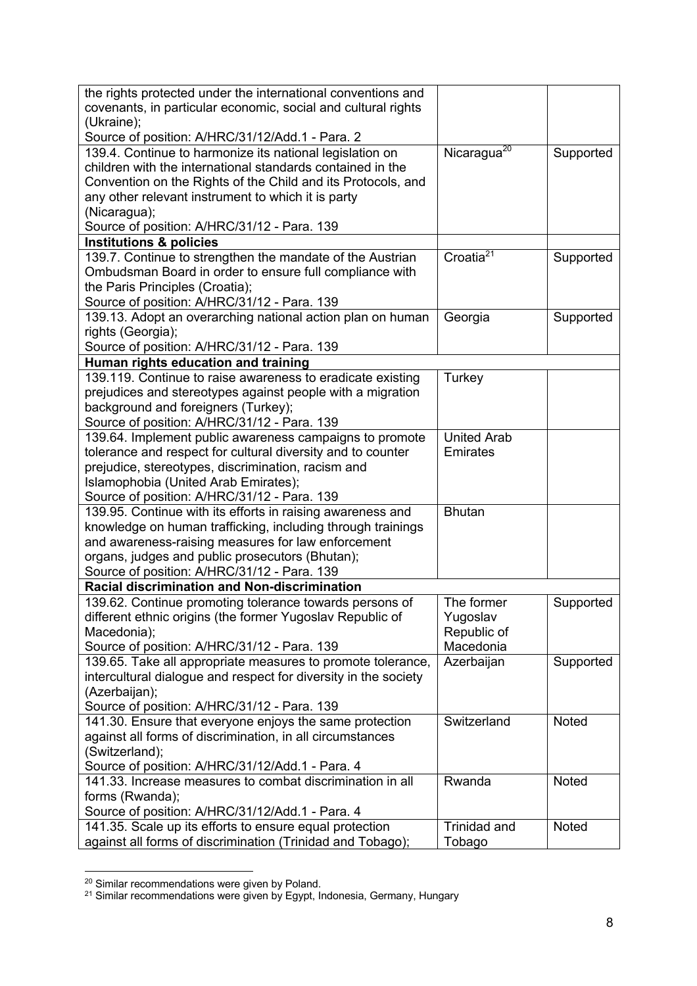| the rights protected under the international conventions and                                      |                         |           |
|---------------------------------------------------------------------------------------------------|-------------------------|-----------|
| covenants, in particular economic, social and cultural rights                                     |                         |           |
| (Ukraine);                                                                                        |                         |           |
| Source of position: A/HRC/31/12/Add.1 - Para. 2                                                   |                         |           |
| 139.4. Continue to harmonize its national legislation on                                          | Nicaragua <sup>20</sup> | Supported |
| children with the international standards contained in the                                        |                         |           |
| Convention on the Rights of the Child and its Protocols, and                                      |                         |           |
| any other relevant instrument to which it is party                                                |                         |           |
| (Nicaragua);                                                                                      |                         |           |
| Source of position: A/HRC/31/12 - Para. 139                                                       |                         |           |
| <b>Institutions &amp; policies</b>                                                                |                         |           |
| 139.7. Continue to strengthen the mandate of the Austrian                                         | Croatia $21$            | Supported |
| Ombudsman Board in order to ensure full compliance with                                           |                         |           |
| the Paris Principles (Croatia);                                                                   |                         |           |
| Source of position: A/HRC/31/12 - Para. 139                                                       |                         |           |
| 139.13. Adopt an overarching national action plan on human                                        | Georgia                 | Supported |
| rights (Georgia);                                                                                 |                         |           |
| Source of position: A/HRC/31/12 - Para. 139                                                       |                         |           |
| Human rights education and training                                                               |                         |           |
| 139.119. Continue to raise awareness to eradicate existing                                        | Turkey                  |           |
| prejudices and stereotypes against people with a migration<br>background and foreigners (Turkey); |                         |           |
| Source of position: A/HRC/31/12 - Para. 139                                                       |                         |           |
| 139.64. Implement public awareness campaigns to promote                                           | <b>United Arab</b>      |           |
| tolerance and respect for cultural diversity and to counter                                       | Emirates                |           |
| prejudice, stereotypes, discrimination, racism and                                                |                         |           |
| Islamophobia (United Arab Emirates);                                                              |                         |           |
| Source of position: A/HRC/31/12 - Para. 139                                                       |                         |           |
| 139.95. Continue with its efforts in raising awareness and                                        | <b>Bhutan</b>           |           |
| knowledge on human trafficking, including through trainings                                       |                         |           |
| and awareness-raising measures for law enforcement                                                |                         |           |
| organs, judges and public prosecutors (Bhutan);                                                   |                         |           |
| Source of position: A/HRC/31/12 - Para. 139                                                       |                         |           |
| Racial discrimination and Non-discrimination                                                      |                         |           |
| 139.62. Continue promoting tolerance towards persons of                                           | The former              | Supported |
| different ethnic origins (the former Yugoslav Republic of                                         | Yugoslav                |           |
| Macedonia);                                                                                       | Republic of             |           |
| Source of position: A/HRC/31/12 - Para. 139                                                       | Macedonia               |           |
| 139.65. Take all appropriate measures to promote tolerance,                                       | Azerbaijan              | Supported |
| intercultural dialogue and respect for diversity in the society                                   |                         |           |
| (Azerbaijan);                                                                                     |                         |           |
| Source of position: A/HRC/31/12 - Para. 139                                                       |                         |           |
| 141.30. Ensure that everyone enjoys the same protection                                           | Switzerland             | Noted     |
| against all forms of discrimination, in all circumstances                                         |                         |           |
| (Switzerland);                                                                                    |                         |           |
| Source of position: A/HRC/31/12/Add.1 - Para. 4                                                   |                         |           |
| 141.33. Increase measures to combat discrimination in all                                         | Rwanda                  | Noted     |
| forms (Rwanda);                                                                                   |                         |           |
| Source of position: A/HRC/31/12/Add.1 - Para. 4                                                   |                         |           |
| 141.35. Scale up its efforts to ensure equal protection                                           | <b>Trinidad and</b>     | Noted     |
| against all forms of discrimination (Trinidad and Tobago);                                        | Tobago                  |           |

<sup>&</sup>lt;sup>20</sup> Similar recommendations were given by Poland.

<sup>&</sup>lt;sup>21</sup> Similar recommendations were given by Egypt, Indonesia, Germany, Hungary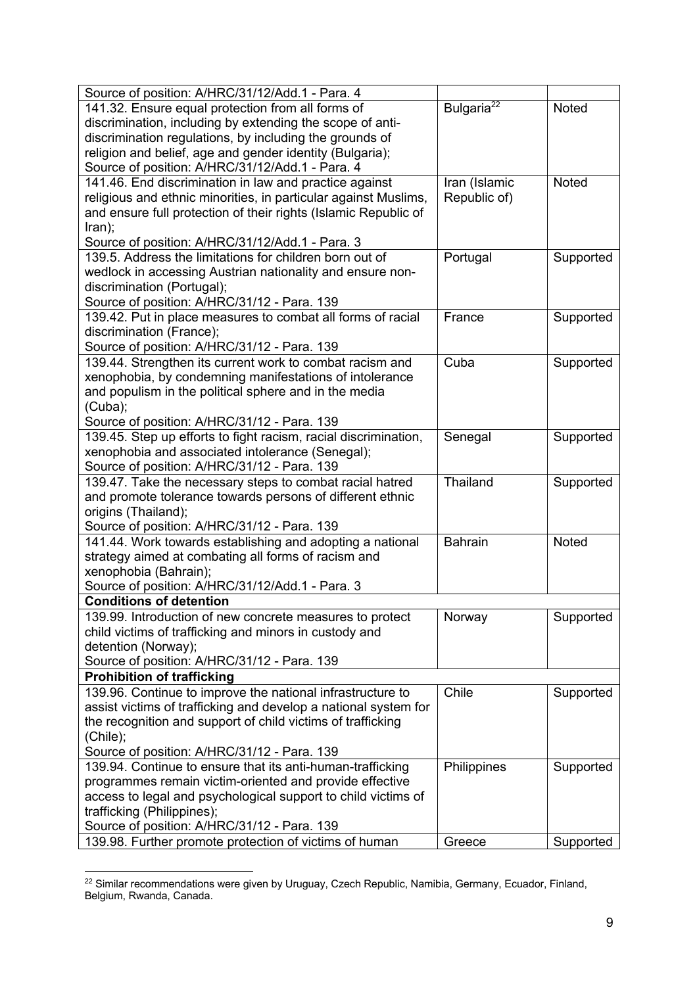| Source of position: A/HRC/31/12/Add.1 - Para. 4                                                                                |                        |              |
|--------------------------------------------------------------------------------------------------------------------------------|------------------------|--------------|
| 141.32. Ensure equal protection from all forms of                                                                              | Bulgaria <sup>22</sup> | Noted        |
| discrimination, including by extending the scope of anti-                                                                      |                        |              |
| discrimination regulations, by including the grounds of                                                                        |                        |              |
| religion and belief, age and gender identity (Bulgaria);                                                                       |                        |              |
| Source of position: A/HRC/31/12/Add.1 - Para. 4                                                                                |                        |              |
| 141.46. End discrimination in law and practice against                                                                         | Iran (Islamic          | <b>Noted</b> |
| religious and ethnic minorities, in particular against Muslims,                                                                | Republic of)           |              |
| and ensure full protection of their rights (Islamic Republic of                                                                |                        |              |
| tran);                                                                                                                         |                        |              |
| Source of position: A/HRC/31/12/Add.1 - Para. 3                                                                                |                        |              |
| 139.5. Address the limitations for children born out of                                                                        | Portugal               | Supported    |
| wedlock in accessing Austrian nationality and ensure non-                                                                      |                        |              |
| discrimination (Portugal);                                                                                                     |                        |              |
| Source of position: A/HRC/31/12 - Para. 139                                                                                    |                        |              |
| 139.42. Put in place measures to combat all forms of racial                                                                    | France                 | Supported    |
| discrimination (France);                                                                                                       |                        |              |
| Source of position: A/HRC/31/12 - Para. 139                                                                                    |                        |              |
| 139.44. Strengthen its current work to combat racism and                                                                       | Cuba                   | Supported    |
| xenophobia, by condemning manifestations of intolerance                                                                        |                        |              |
| and populism in the political sphere and in the media                                                                          |                        |              |
| (Cuba);                                                                                                                        |                        |              |
| Source of position: A/HRC/31/12 - Para. 139                                                                                    |                        |              |
| 139.45. Step up efforts to fight racism, racial discrimination,                                                                | Senegal                | Supported    |
| xenophobia and associated intolerance (Senegal);                                                                               |                        |              |
| Source of position: A/HRC/31/12 - Para. 139                                                                                    |                        |              |
| 139.47. Take the necessary steps to combat racial hatred                                                                       | Thailand               | Supported    |
| and promote tolerance towards persons of different ethnic                                                                      |                        |              |
| origins (Thailand);                                                                                                            |                        |              |
| Source of position: A/HRC/31/12 - Para. 139                                                                                    |                        |              |
| 141.44. Work towards establishing and adopting a national                                                                      | <b>Bahrain</b>         | Noted        |
| strategy aimed at combating all forms of racism and                                                                            |                        |              |
| xenophobia (Bahrain);                                                                                                          |                        |              |
| Source of position: A/HRC/31/12/Add.1 - Para. 3                                                                                |                        |              |
| <b>Conditions of detention</b>                                                                                                 |                        |              |
| 139.99. Introduction of new concrete measures to protect                                                                       | Norway                 | Supported    |
| child victims of trafficking and minors in custody and                                                                         |                        |              |
| detention (Norway);                                                                                                            |                        |              |
| Source of position: A/HRC/31/12 - Para. 139                                                                                    |                        |              |
| <b>Prohibition of trafficking</b>                                                                                              |                        |              |
| 139.96. Continue to improve the national infrastructure to                                                                     | Chile                  | Supported    |
| assist victims of trafficking and develop a national system for<br>the recognition and support of child victims of trafficking |                        |              |
|                                                                                                                                |                        |              |
| (Chile);                                                                                                                       |                        |              |
| Source of position: A/HRC/31/12 - Para. 139<br>139.94. Continue to ensure that its anti-human-trafficking                      | Philippines            |              |
|                                                                                                                                |                        | Supported    |
| programmes remain victim-oriented and provide effective                                                                        |                        |              |
| access to legal and psychological support to child victims of<br>trafficking (Philippines);                                    |                        |              |
| Source of position: A/HRC/31/12 - Para. 139                                                                                    |                        |              |
| 139.98. Further promote protection of victims of human                                                                         | Greece                 |              |
|                                                                                                                                |                        | Supported    |

 $22$  Similar recommendations were given by Uruguay, Czech Republic, Namibia, Germany, Ecuador, Finland, Belgium, Rwanda, Canada.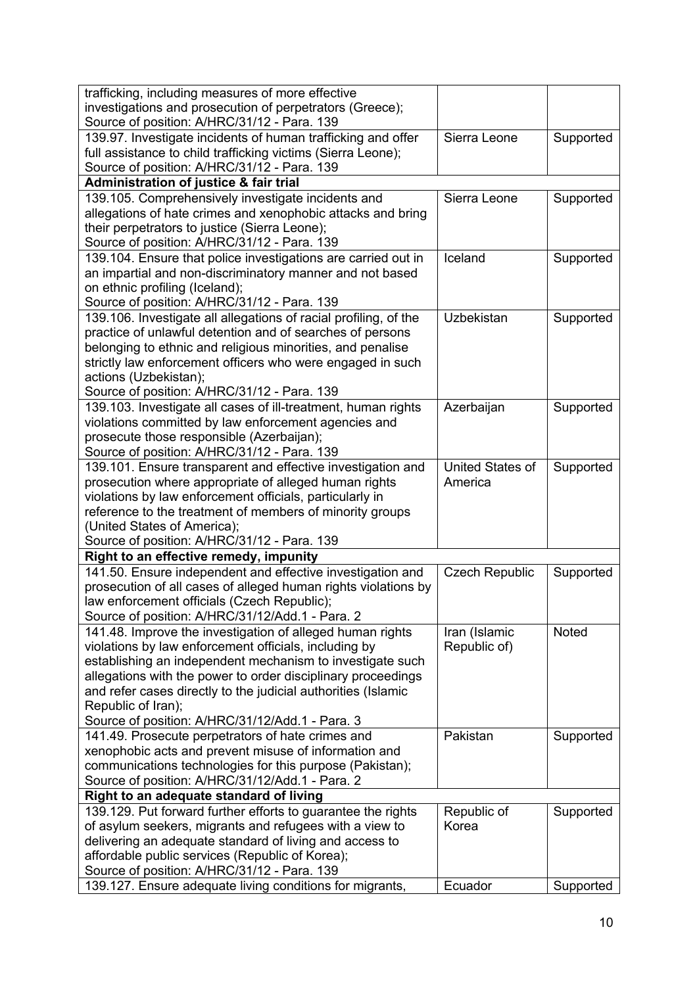| trafficking, including measures of more effective                |                       |           |
|------------------------------------------------------------------|-----------------------|-----------|
| investigations and prosecution of perpetrators (Greece);         |                       |           |
| Source of position: A/HRC/31/12 - Para. 139                      |                       |           |
| 139.97. Investigate incidents of human trafficking and offer     | Sierra Leone          | Supported |
| full assistance to child trafficking victims (Sierra Leone);     |                       |           |
| Source of position: A/HRC/31/12 - Para. 139                      |                       |           |
| <b>Administration of justice &amp; fair trial</b>                |                       |           |
| 139.105. Comprehensively investigate incidents and               | Sierra Leone          | Supported |
| allegations of hate crimes and xenophobic attacks and bring      |                       |           |
| their perpetrators to justice (Sierra Leone);                    |                       |           |
| Source of position: A/HRC/31/12 - Para. 139                      |                       |           |
| 139.104. Ensure that police investigations are carried out in    | Iceland               | Supported |
| an impartial and non-discriminatory manner and not based         |                       |           |
| on ethnic profiling (Iceland);                                   |                       |           |
| Source of position: A/HRC/31/12 - Para. 139                      |                       |           |
| 139.106. Investigate all allegations of racial profiling, of the | Uzbekistan            | Supported |
| practice of unlawful detention and of searches of persons        |                       |           |
| belonging to ethnic and religious minorities, and penalise       |                       |           |
| strictly law enforcement officers who were engaged in such       |                       |           |
|                                                                  |                       |           |
| actions (Uzbekistan);                                            |                       |           |
| Source of position: A/HRC/31/12 - Para. 139                      | Azerbaijan            |           |
| 139.103. Investigate all cases of ill-treatment, human rights    |                       | Supported |
| violations committed by law enforcement agencies and             |                       |           |
| prosecute those responsible (Azerbaijan);                        |                       |           |
| Source of position: A/HRC/31/12 - Para. 139                      |                       |           |
| 139.101. Ensure transparent and effective investigation and      | United States of      | Supported |
| prosecution where appropriate of alleged human rights            | America               |           |
| violations by law enforcement officials, particularly in         |                       |           |
| reference to the treatment of members of minority groups         |                       |           |
| (United States of America);                                      |                       |           |
| Source of position: A/HRC/31/12 - Para. 139                      |                       |           |
| Right to an effective remedy, impunity                           |                       |           |
| 141.50. Ensure independent and effective investigation and       | <b>Czech Republic</b> | Supported |
| prosecution of all cases of alleged human rights violations by   |                       |           |
| law enforcement officials (Czech Republic);                      |                       |           |
| Source of position: A/HRC/31/12/Add.1 - Para. 2                  |                       |           |
| 141.48. Improve the investigation of alleged human rights        | Iran (Islamic         | Noted     |
| violations by law enforcement officials, including by            | Republic of)          |           |
| establishing an independent mechanism to investigate such        |                       |           |
| allegations with the power to order disciplinary proceedings     |                       |           |
| and refer cases directly to the judicial authorities (Islamic    |                       |           |
| Republic of Iran);                                               |                       |           |
| Source of position: A/HRC/31/12/Add.1 - Para. 3                  |                       |           |
| 141.49. Prosecute perpetrators of hate crimes and                | Pakistan              | Supported |
| xenophobic acts and prevent misuse of information and            |                       |           |
| communications technologies for this purpose (Pakistan);         |                       |           |
| Source of position: A/HRC/31/12/Add.1 - Para. 2                  |                       |           |
| Right to an adequate standard of living                          |                       |           |
| 139.129. Put forward further efforts to guarantee the rights     | Republic of           | Supported |
| of asylum seekers, migrants and refugees with a view to          | Korea                 |           |
| delivering an adequate standard of living and access to          |                       |           |
| affordable public services (Republic of Korea);                  |                       |           |
| Source of position: A/HRC/31/12 - Para. 139                      |                       |           |
| 139.127. Ensure adequate living conditions for migrants,         | Ecuador               | Supported |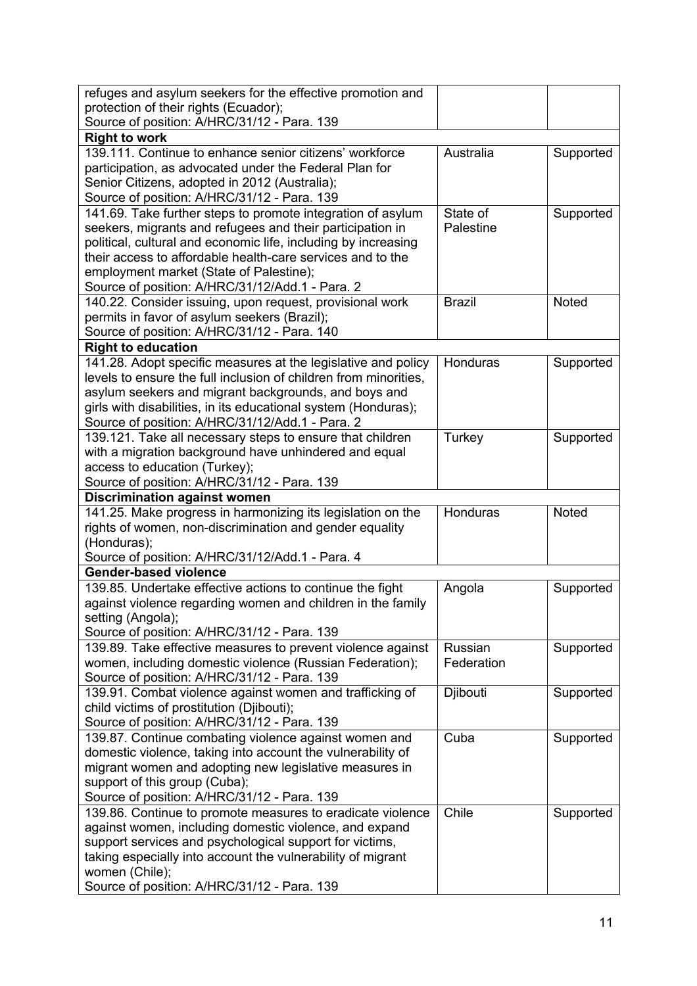| refuges and asylum seekers for the effective promotion and                      |               |           |  |
|---------------------------------------------------------------------------------|---------------|-----------|--|
| protection of their rights (Ecuador);                                           |               |           |  |
| Source of position: A/HRC/31/12 - Para. 139                                     |               |           |  |
| <b>Right to work</b>                                                            |               |           |  |
| 139.111. Continue to enhance senior citizens' workforce                         | Australia     | Supported |  |
| participation, as advocated under the Federal Plan for                          |               |           |  |
| Senior Citizens, adopted in 2012 (Australia);                                   |               |           |  |
| Source of position: A/HRC/31/12 - Para. 139                                     |               |           |  |
| 141.69. Take further steps to promote integration of asylum                     | State of      |           |  |
| seekers, migrants and refugees and their participation in                       | Palestine     | Supported |  |
| political, cultural and economic life, including by increasing                  |               |           |  |
| their access to affordable health-care services and to the                      |               |           |  |
|                                                                                 |               |           |  |
| employment market (State of Palestine);                                         |               |           |  |
| Source of position: A/HRC/31/12/Add.1 - Para. 2                                 |               |           |  |
| 140.22. Consider issuing, upon request, provisional work                        | <b>Brazil</b> | Noted     |  |
| permits in favor of asylum seekers (Brazil);                                    |               |           |  |
| Source of position: A/HRC/31/12 - Para. 140                                     |               |           |  |
| <b>Right to education</b>                                                       |               |           |  |
| 141.28. Adopt specific measures at the legislative and policy                   | Honduras      | Supported |  |
| levels to ensure the full inclusion of children from minorities,                |               |           |  |
| asylum seekers and migrant backgrounds, and boys and                            |               |           |  |
| girls with disabilities, in its educational system (Honduras);                  |               |           |  |
| Source of position: A/HRC/31/12/Add.1 - Para. 2                                 |               |           |  |
| 139.121. Take all necessary steps to ensure that children                       | Turkey        | Supported |  |
| with a migration background have unhindered and equal                           |               |           |  |
| access to education (Turkey);                                                   |               |           |  |
| Source of position: A/HRC/31/12 - Para. 139                                     |               |           |  |
|                                                                                 |               |           |  |
| <b>Discrimination against women</b>                                             |               |           |  |
| 141.25. Make progress in harmonizing its legislation on the                     | Honduras      | Noted     |  |
| rights of women, non-discrimination and gender equality                         |               |           |  |
|                                                                                 |               |           |  |
| (Honduras);                                                                     |               |           |  |
| Source of position: A/HRC/31/12/Add.1 - Para. 4<br><b>Gender-based violence</b> |               |           |  |
|                                                                                 |               |           |  |
| 139.85. Undertake effective actions to continue the fight                       | Angola        | Supported |  |
| against violence regarding women and children in the family                     |               |           |  |
| setting (Angola);                                                               |               |           |  |
| Source of position: A/HRC/31/12 - Para. 139                                     |               |           |  |
| 139.89. Take effective measures to prevent violence against                     | Russian       | Supported |  |
| women, including domestic violence (Russian Federation);                        | Federation    |           |  |
| Source of position: A/HRC/31/12 - Para. 139                                     |               |           |  |
| 139.91. Combat violence against women and trafficking of                        | Djibouti      | Supported |  |
| child victims of prostitution (Djibouti);                                       |               |           |  |
| Source of position: A/HRC/31/12 - Para. 139                                     |               |           |  |
| 139.87. Continue combating violence against women and                           | Cuba          | Supported |  |
| domestic violence, taking into account the vulnerability of                     |               |           |  |
| migrant women and adopting new legislative measures in                          |               |           |  |
| support of this group (Cuba);                                                   |               |           |  |
| Source of position: A/HRC/31/12 - Para. 139                                     |               |           |  |
| 139.86. Continue to promote measures to eradicate violence                      | Chile         | Supported |  |
| against women, including domestic violence, and expand                          |               |           |  |
| support services and psychological support for victims,                         |               |           |  |
| taking especially into account the vulnerability of migrant                     |               |           |  |
| women (Chile);<br>Source of position: A/HRC/31/12 - Para. 139                   |               |           |  |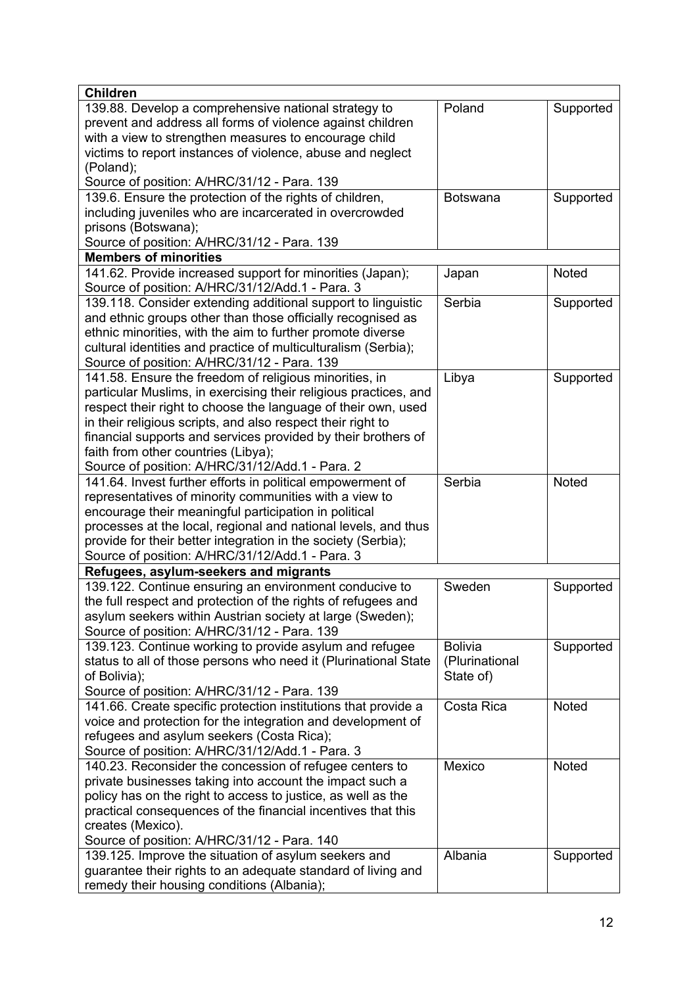| <b>Children</b>                                                  |                 |           |
|------------------------------------------------------------------|-----------------|-----------|
| 139.88. Develop a comprehensive national strategy to             | Poland          | Supported |
| prevent and address all forms of violence against children       |                 |           |
| with a view to strengthen measures to encourage child            |                 |           |
| victims to report instances of violence, abuse and neglect       |                 |           |
| (Poland);                                                        |                 |           |
| Source of position: A/HRC/31/12 - Para. 139                      |                 |           |
| 139.6. Ensure the protection of the rights of children,          | <b>Botswana</b> | Supported |
| including juveniles who are incarcerated in overcrowded          |                 |           |
| prisons (Botswana);                                              |                 |           |
| Source of position: A/HRC/31/12 - Para. 139                      |                 |           |
| <b>Members of minorities</b>                                     |                 |           |
| 141.62. Provide increased support for minorities (Japan);        | Japan           | Noted     |
| Source of position: A/HRC/31/12/Add.1 - Para. 3                  |                 |           |
| 139.118. Consider extending additional support to linguistic     | Serbia          | Supported |
| and ethnic groups other than those officially recognised as      |                 |           |
| ethnic minorities, with the aim to further promote diverse       |                 |           |
| cultural identities and practice of multiculturalism (Serbia);   |                 |           |
| Source of position: A/HRC/31/12 - Para. 139                      |                 |           |
| 141.58. Ensure the freedom of religious minorities, in           | Libya           | Supported |
| particular Muslims, in exercising their religious practices, and |                 |           |
| respect their right to choose the language of their own, used    |                 |           |
| in their religious scripts, and also respect their right to      |                 |           |
| financial supports and services provided by their brothers of    |                 |           |
| faith from other countries (Libya);                              |                 |           |
| Source of position: A/HRC/31/12/Add.1 - Para. 2                  |                 |           |
| 141.64. Invest further efforts in political empowerment of       | Serbia          | Noted     |
| representatives of minority communities with a view to           |                 |           |
| encourage their meaningful participation in political            |                 |           |
| processes at the local, regional and national levels, and thus   |                 |           |
| provide for their better integration in the society (Serbia);    |                 |           |
| Source of position: A/HRC/31/12/Add.1 - Para. 3                  |                 |           |
| Refugees, asylum-seekers and migrants                            |                 |           |
| 139.122. Continue ensuring an environment conducive to           | Sweden          | Supported |
| the full respect and protection of the rights of refugees and    |                 |           |
| asylum seekers within Austrian society at large (Sweden);        |                 |           |
| Source of position: A/HRC/31/12 - Para. 139                      |                 |           |
| 139.123. Continue working to provide asylum and refugee          | <b>Bolivia</b>  | Supported |
| status to all of those persons who need it (Plurinational State  | (Plurinational  |           |
| of Bolivia);                                                     | State of)       |           |
| Source of position: A/HRC/31/12 - Para. 139                      |                 |           |
| 141.66. Create specific protection institutions that provide a   | Costa Rica      | Noted     |
| voice and protection for the integration and development of      |                 |           |
| refugees and asylum seekers (Costa Rica);                        |                 |           |
| Source of position: A/HRC/31/12/Add.1 - Para. 3                  |                 |           |
| 140.23. Reconsider the concession of refugee centers to          | Mexico          | Noted     |
| private businesses taking into account the impact such a         |                 |           |
| policy has on the right to access to justice, as well as the     |                 |           |
| practical consequences of the financial incentives that this     |                 |           |
| creates (Mexico).                                                |                 |           |
| Source of position: A/HRC/31/12 - Para. 140                      |                 |           |
| 139.125. Improve the situation of asylum seekers and             | Albania         | Supported |
| guarantee their rights to an adequate standard of living and     |                 |           |
| remedy their housing conditions (Albania);                       |                 |           |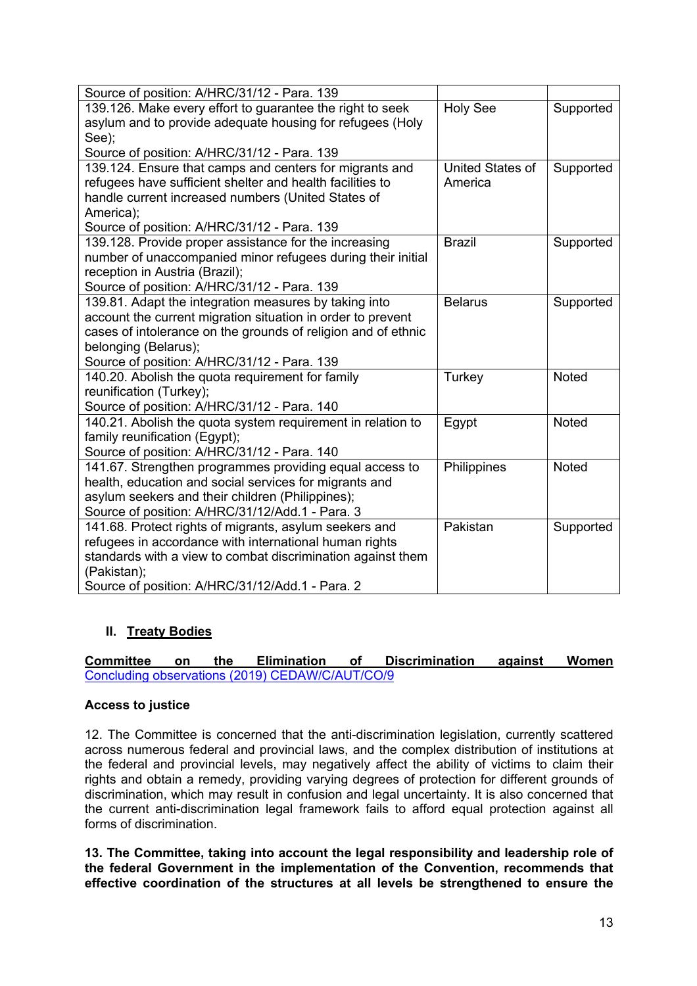| Source of position: A/HRC/31/12 - Para. 139                   |                         |              |
|---------------------------------------------------------------|-------------------------|--------------|
| 139.126. Make every effort to guarantee the right to seek     | <b>Holy See</b>         | Supported    |
| asylum and to provide adequate housing for refugees (Holy     |                         |              |
| See);                                                         |                         |              |
| Source of position: A/HRC/31/12 - Para. 139                   |                         |              |
| 139.124. Ensure that camps and centers for migrants and       | <b>United States of</b> | Supported    |
| refugees have sufficient shelter and health facilities to     | America                 |              |
| handle current increased numbers (United States of            |                         |              |
| America);                                                     |                         |              |
| Source of position: A/HRC/31/12 - Para. 139                   |                         |              |
| 139.128. Provide proper assistance for the increasing         | <b>Brazil</b>           | Supported    |
| number of unaccompanied minor refugees during their initial   |                         |              |
| reception in Austria (Brazil);                                |                         |              |
| Source of position: A/HRC/31/12 - Para. 139                   |                         |              |
| 139.81. Adapt the integration measures by taking into         | <b>Belarus</b>          | Supported    |
| account the current migration situation in order to prevent   |                         |              |
| cases of intolerance on the grounds of religion and of ethnic |                         |              |
| belonging (Belarus);                                          |                         |              |
| Source of position: A/HRC/31/12 - Para. 139                   |                         |              |
| 140.20. Abolish the quota requirement for family              | Turkey                  | Noted        |
| reunification (Turkey);                                       |                         |              |
| Source of position: A/HRC/31/12 - Para. 140                   |                         |              |
| 140.21. Abolish the quota system requirement in relation to   | Egypt                   | <b>Noted</b> |
| family reunification (Egypt);                                 |                         |              |
| Source of position: A/HRC/31/12 - Para. 140                   |                         |              |
| 141.67. Strengthen programmes providing equal access to       | Philippines             | <b>Noted</b> |
| health, education and social services for migrants and        |                         |              |
| asylum seekers and their children (Philippines);              |                         |              |
| Source of position: A/HRC/31/12/Add.1 - Para. 3               |                         |              |
| 141.68. Protect rights of migrants, asylum seekers and        | Pakistan                | Supported    |
| refugees in accordance with international human rights        |                         |              |
| standards with a view to combat discrimination against them   |                         |              |
| (Pakistan);                                                   |                         |              |
| Source of position: A/HRC/31/12/Add.1 - Para. 2               |                         |              |

# **II. Treaty Bodies**

**Committee on the Elimination of Discrimination against Women** Concluding observations (2019) CEDAW/C/AUT/CO/9

# **Access to justice**

12. The Committee is concerned that the anti-discrimination legislation, currently scattered across numerous federal and provincial laws, and the complex distribution of institutions at the federal and provincial levels, may negatively affect the ability of victims to claim their rights and obtain a remedy, providing varying degrees of protection for different grounds of discrimination, which may result in confusion and legal uncertainty. It is also concerned that the current anti-discrimination legal framework fails to afford equal protection against all forms of discrimination.

**13. The Committee, taking into account the legal responsibility and leadership role of the federal Government in the implementation of the Convention, recommends that effective coordination of the structures at all levels be strengthened to ensure the**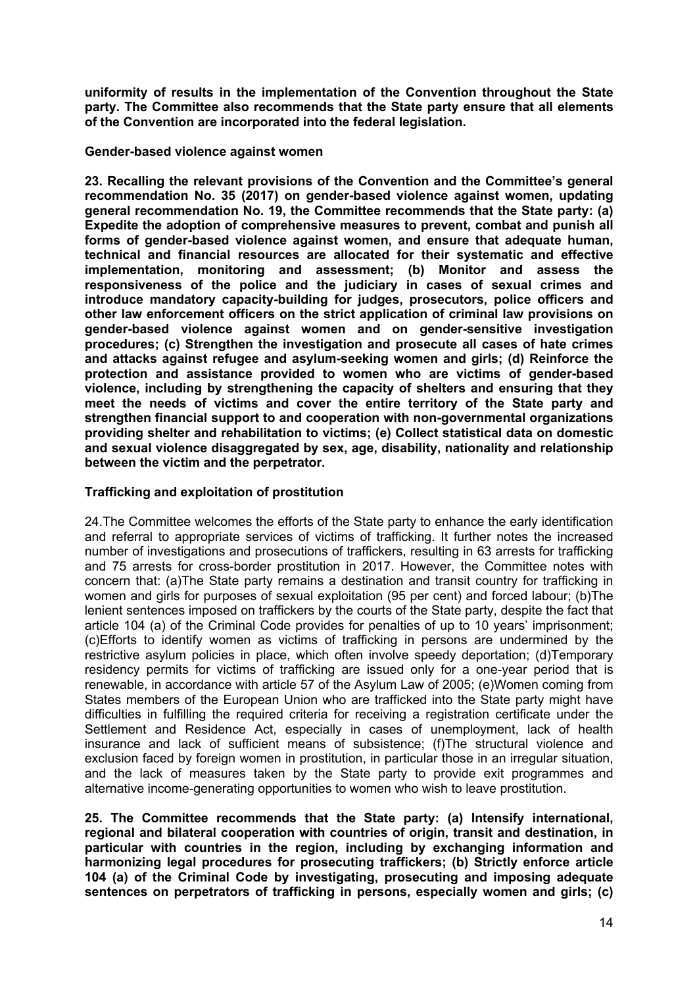**uniformity of results in the implementation of the Convention throughout the State party. The Committee also recommends that the State party ensure that all elements of the Convention are incorporated into the federal legislation.**

### **Gender-based violence against women**

**23. Recalling the relevant provisions of the Convention and the Committee's general recommendation No. 35 (2017) on gender-based violence against women, updating general recommendation No. 19, the Committee recommends that the State party: (a) Expedite the adoption of comprehensive measures to prevent, combat and punish all forms of gender-based violence against women, and ensure that adequate human, technical and financial resources are allocated for their systematic and effective implementation, monitoring and assessment; (b) Monitor and assess the responsiveness of the police and the judiciary in cases of sexual crimes and introduce mandatory capacity-building for judges, prosecutors, police officers and other law enforcement officers on the strict application of criminal law provisions on gender-based violence against women and on gender-sensitive investigation procedures; (c) Strengthen the investigation and prosecute all cases of hate crimes and attacks against refugee and asylum-seeking women and girls; (d) Reinforce the protection and assistance provided to women who are victims of gender-based violence, including by strengthening the capacity of shelters and ensuring that they meet the needs of victims and cover the entire territory of the State party and strengthen financial support to and cooperation with non-governmental organizations providing shelter and rehabilitation to victims; (e) Collect statistical data on domestic and sexual violence disaggregated by sex, age, disability, nationality and relationship between the victim and the perpetrator.**

### **Trafficking and exploitation of prostitution**

24.The Committee welcomes the efforts of the State party to enhance the early identification and referral to appropriate services of victims of trafficking. It further notes the increased number of investigations and prosecutions of traffickers, resulting in 63 arrests for trafficking and 75 arrests for cross-border prostitution in 2017. However, the Committee notes with concern that: (a)The State party remains a destination and transit country for trafficking in women and girls for purposes of sexual exploitation (95 per cent) and forced labour; (b)The lenient sentences imposed on traffickers by the courts of the State party, despite the fact that article 104 (a) of the Criminal Code provides for penalties of up to 10 years' imprisonment; (c)Efforts to identify women as victims of trafficking in persons are undermined by the restrictive asylum policies in place, which often involve speedy deportation; (d)Temporary residency permits for victims of trafficking are issued only for a one-year period that is renewable, in accordance with article 57 of the Asylum Law of 2005; (e)Women coming from States members of the European Union who are trafficked into the State party might have difficulties in fulfilling the required criteria for receiving a registration certificate under the Settlement and Residence Act, especially in cases of unemployment, lack of health insurance and lack of sufficient means of subsistence; (f)The structural violence and exclusion faced by foreign women in prostitution, in particular those in an irregular situation, and the lack of measures taken by the State party to provide exit programmes and alternative income-generating opportunities to women who wish to leave prostitution.

**25. The Committee recommends that the State party: (a) Intensify international, regional and bilateral cooperation with countries of origin, transit and destination, in particular with countries in the region, including by exchanging information and harmonizing legal procedures for prosecuting traffickers; (b) Strictly enforce article 104 (a) of the Criminal Code by investigating, prosecuting and imposing adequate sentences on perpetrators of trafficking in persons, especially women and girls; (c)**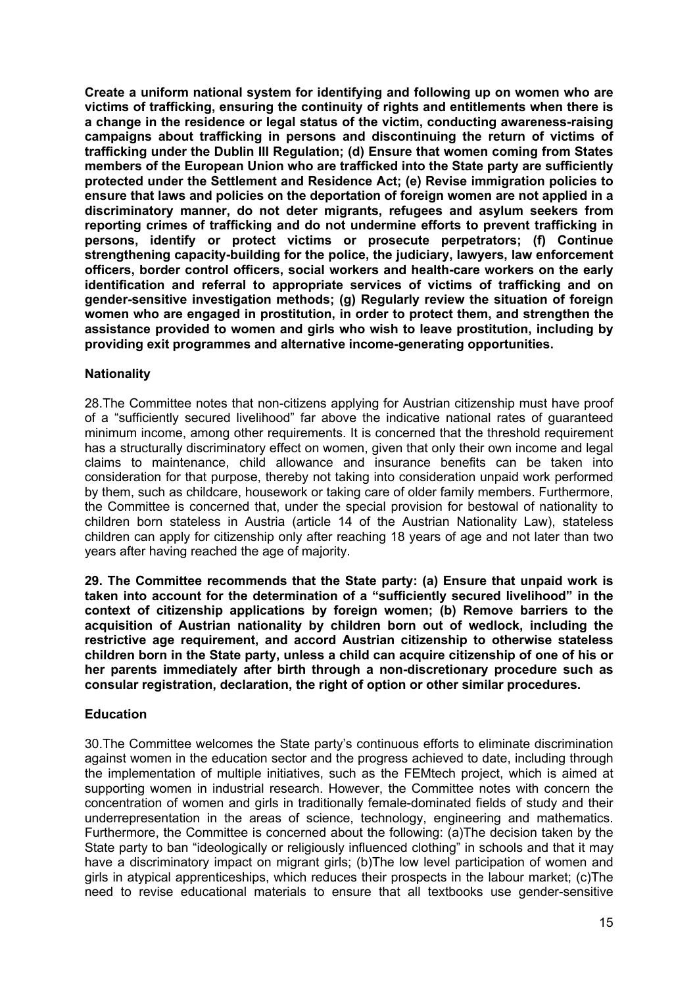**Create a uniform national system for identifying and following up on women who are victims of trafficking, ensuring the continuity of rights and entitlements when there is a change in the residence or legal status of the victim, conducting awareness-raising campaigns about trafficking in persons and discontinuing the return of victims of trafficking under the Dublin III Regulation; (d) Ensure that women coming from States members of the European Union who are trafficked into the State party are sufficiently protected under the Settlement and Residence Act; (e) Revise immigration policies to ensure that laws and policies on the deportation of foreign women are not applied in a discriminatory manner, do not deter migrants, refugees and asylum seekers from reporting crimes of trafficking and do not undermine efforts to prevent trafficking in persons, identify or protect victims or prosecute perpetrators; (f) Continue strengthening capacity-building for the police, the judiciary, lawyers, law enforcement officers, border control officers, social workers and health-care workers on the early identification and referral to appropriate services of victims of trafficking and on gender-sensitive investigation methods; (g) Regularly review the situation of foreign women who are engaged in prostitution, in order to protect them, and strengthen the assistance provided to women and girls who wish to leave prostitution, including by providing exit programmes and alternative income-generating opportunities.**

## **Nationality**

28.The Committee notes that non-citizens applying for Austrian citizenship must have proof of a "sufficiently secured livelihood" far above the indicative national rates of guaranteed minimum income, among other requirements. It is concerned that the threshold requirement has a structurally discriminatory effect on women, given that only their own income and legal claims to maintenance, child allowance and insurance benefits can be taken into consideration for that purpose, thereby not taking into consideration unpaid work performed by them, such as childcare, housework or taking care of older family members. Furthermore, the Committee is concerned that, under the special provision for bestowal of nationality to children born stateless in Austria (article 14 of the Austrian Nationality Law), stateless children can apply for citizenship only after reaching 18 years of age and not later than two years after having reached the age of majority.

**29. The Committee recommends that the State party: (a) Ensure that unpaid work is taken into account for the determination of a "sufficiently secured livelihood" in the context of citizenship applications by foreign women; (b) Remove barriers to the acquisition of Austrian nationality by children born out of wedlock, including the restrictive age requirement, and accord Austrian citizenship to otherwise stateless children born in the State party, unless a child can acquire citizenship of one of his or her parents immediately after birth through a non-discretionary procedure such as consular registration, declaration, the right of option or other similar procedures.**

### **Education**

30.The Committee welcomes the State party's continuous efforts to eliminate discrimination against women in the education sector and the progress achieved to date, including through the implementation of multiple initiatives, such as the FEMtech project, which is aimed at supporting women in industrial research. However, the Committee notes with concern the concentration of women and girls in traditionally female-dominated fields of study and their underrepresentation in the areas of science, technology, engineering and mathematics. Furthermore, the Committee is concerned about the following: (a)The decision taken by the State party to ban "ideologically or religiously influenced clothing" in schools and that it may have a discriminatory impact on migrant girls; (b)The low level participation of women and girls in atypical apprenticeships, which reduces their prospects in the labour market; (c)The need to revise educational materials to ensure that all textbooks use gender-sensitive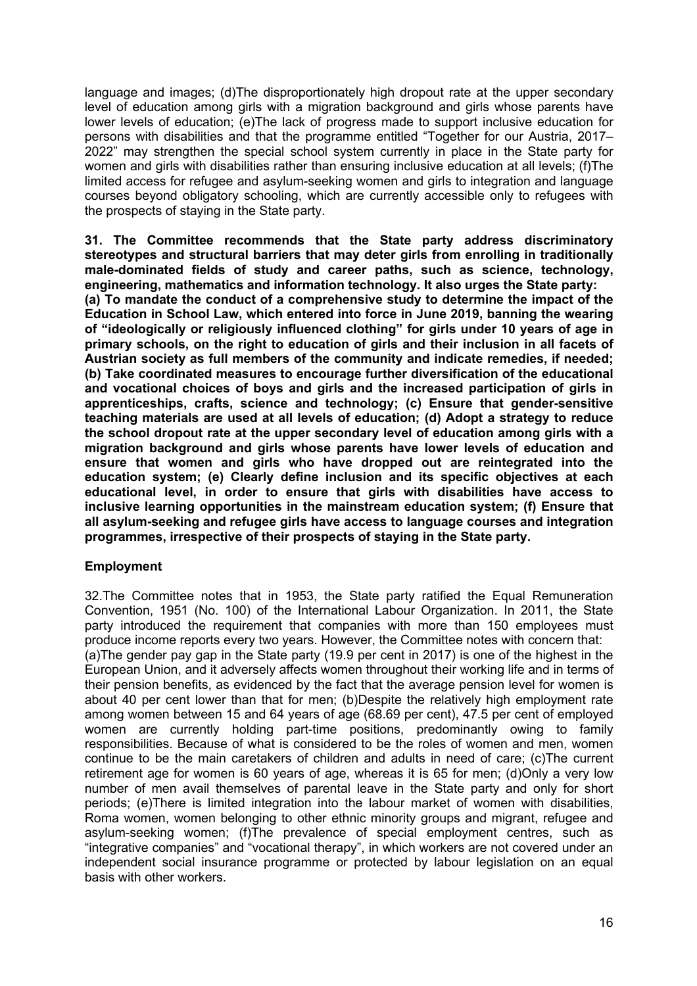language and images; (d)The disproportionately high dropout rate at the upper secondary level of education among girls with a migration background and girls whose parents have lower levels of education; (e)The lack of progress made to support inclusive education for persons with disabilities and that the programme entitled "Together for our Austria, 2017– 2022" may strengthen the special school system currently in place in the State party for women and girls with disabilities rather than ensuring inclusive education at all levels; (f)The limited access for refugee and asylum-seeking women and girls to integration and language courses beyond obligatory schooling, which are currently accessible only to refugees with the prospects of staying in the State party.

**31. The Committee recommends that the State party address discriminatory stereotypes and structural barriers that may deter girls from enrolling in traditionally male-dominated fields of study and career paths, such as science, technology, engineering, mathematics and information technology. It also urges the State party: (a) To mandate the conduct of a comprehensive study to determine the impact of the Education in School Law, which entered into force in June 2019, banning the wearing of "ideologically or religiously influenced clothing" for girls under 10 years of age in primary schools, on the right to education of girls and their inclusion in all facets of Austrian society as full members of the community and indicate remedies, if needed; (b) Take coordinated measures to encourage further diversification of the educational and vocational choices of boys and girls and the increased participation of girls in apprenticeships, crafts, science and technology; (c) Ensure that gender-sensitive teaching materials are used at all levels of education; (d) Adopt a strategy to reduce the school dropout rate at the upper secondary level of education among girls with a migration background and girls whose parents have lower levels of education and ensure that women and girls who have dropped out are reintegrated into the education system; (e) Clearly define inclusion and its specific objectives at each educational level, in order to ensure that girls with disabilities have access to inclusive learning opportunities in the mainstream education system; (f) Ensure that all asylum-seeking and refugee girls have access to language courses and integration programmes, irrespective of their prospects of staying in the State party.**

### **Employment**

32.The Committee notes that in 1953, the State party ratified the Equal Remuneration Convention, 1951 (No. 100) of the International Labour Organization. In 2011, the State party introduced the requirement that companies with more than 150 employees must produce income reports every two years. However, the Committee notes with concern that: (a)The gender pay gap in the State party (19.9 per cent in 2017) is one of the highest in the European Union, and it adversely affects women throughout their working life and in terms of their pension benefits, as evidenced by the fact that the average pension level for women is about 40 per cent lower than that for men; (b)Despite the relatively high employment rate among women between 15 and 64 years of age (68.69 per cent), 47.5 per cent of employed women are currently holding part-time positions, predominantly owing to family responsibilities. Because of what is considered to be the roles of women and men, women continue to be the main caretakers of children and adults in need of care; (c)The current retirement age for women is 60 years of age, whereas it is 65 for men; (d)Only a very low number of men avail themselves of parental leave in the State party and only for short periods; (e)There is limited integration into the labour market of women with disabilities, Roma women, women belonging to other ethnic minority groups and migrant, refugee and asylum-seeking women; (f)The prevalence of special employment centres, such as "integrative companies" and "vocational therapy", in which workers are not covered under an independent social insurance programme or protected by labour legislation on an equal basis with other workers.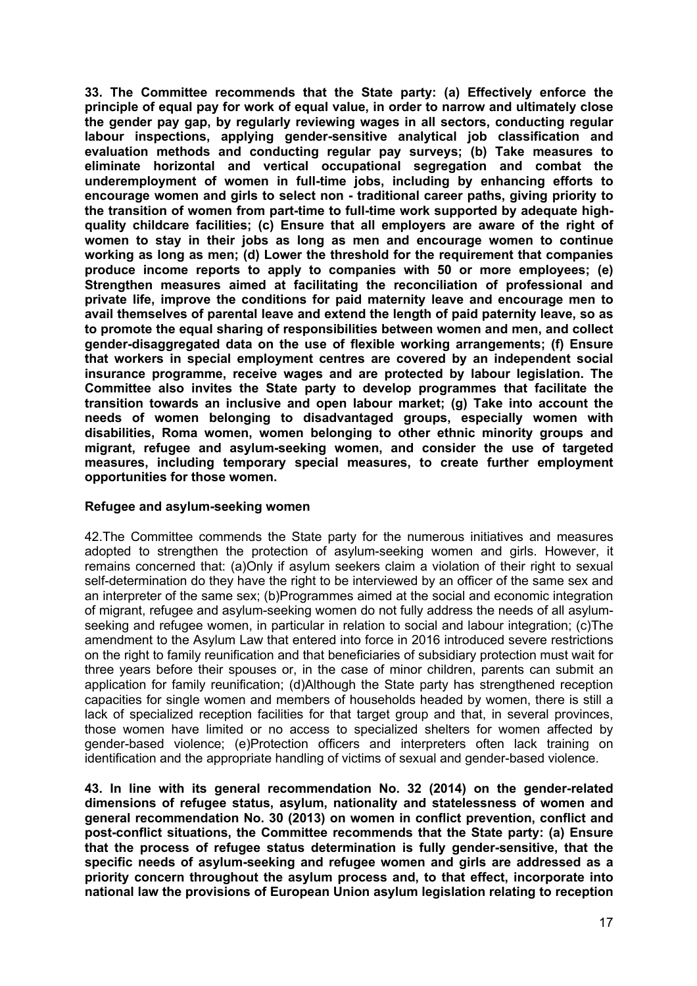**33. The Committee recommends that the State party: (a) Effectively enforce the principle of equal pay for work of equal value, in order to narrow and ultimately close the gender pay gap, by regularly reviewing wages in all sectors, conducting regular labour inspections, applying gender-sensitive analytical job classification and evaluation methods and conducting regular pay surveys; (b) Take measures to eliminate horizontal and vertical occupational segregation and combat the underemployment of women in full-time jobs, including by enhancing efforts to encourage women and girls to select non - traditional career paths, giving priority to the transition of women from part-time to full-time work supported by adequate highquality childcare facilities; (c) Ensure that all employers are aware of the right of women to stay in their jobs as long as men and encourage women to continue working as long as men; (d) Lower the threshold for the requirement that companies produce income reports to apply to companies with 50 or more employees; (e) Strengthen measures aimed at facilitating the reconciliation of professional and private life, improve the conditions for paid maternity leave and encourage men to avail themselves of parental leave and extend the length of paid paternity leave, so as to promote the equal sharing of responsibilities between women and men, and collect gender-disaggregated data on the use of flexible working arrangements; (f) Ensure that workers in special employment centres are covered by an independent social insurance programme, receive wages and are protected by labour legislation. The Committee also invites the State party to develop programmes that facilitate the transition towards an inclusive and open labour market; (g) Take into account the needs of women belonging to disadvantaged groups, especially women with disabilities, Roma women, women belonging to other ethnic minority groups and migrant, refugee and asylum-seeking women, and consider the use of targeted measures, including temporary special measures, to create further employment opportunities for those women.**

### **Refugee and asylum-seeking women**

42.The Committee commends the State party for the numerous initiatives and measures adopted to strengthen the protection of asylum-seeking women and girls. However, it remains concerned that: (a)Only if asylum seekers claim a violation of their right to sexual self-determination do they have the right to be interviewed by an officer of the same sex and an interpreter of the same sex; (b)Programmes aimed at the social and economic integration of migrant, refugee and asylum-seeking women do not fully address the needs of all asylumseeking and refugee women, in particular in relation to social and labour integration; (c)The amendment to the Asylum Law that entered into force in 2016 introduced severe restrictions on the right to family reunification and that beneficiaries of subsidiary protection must wait for three years before their spouses or, in the case of minor children, parents can submit an application for family reunification; (d)Although the State party has strengthened reception capacities for single women and members of households headed by women, there is still a lack of specialized reception facilities for that target group and that, in several provinces, those women have limited or no access to specialized shelters for women affected by gender-based violence; (e)Protection officers and interpreters often lack training on identification and the appropriate handling of victims of sexual and gender-based violence.

**43. In line with its general recommendation No. 32 (2014) on the gender-related dimensions of refugee status, asylum, nationality and statelessness of women and general recommendation No. 30 (2013) on women in conflict prevention, conflict and post-conflict situations, the Committee recommends that the State party: (a) Ensure that the process of refugee status determination is fully gender-sensitive, that the specific needs of asylum-seeking and refugee women and girls are addressed as a priority concern throughout the asylum process and, to that effect, incorporate into national law the provisions of European Union asylum legislation relating to reception**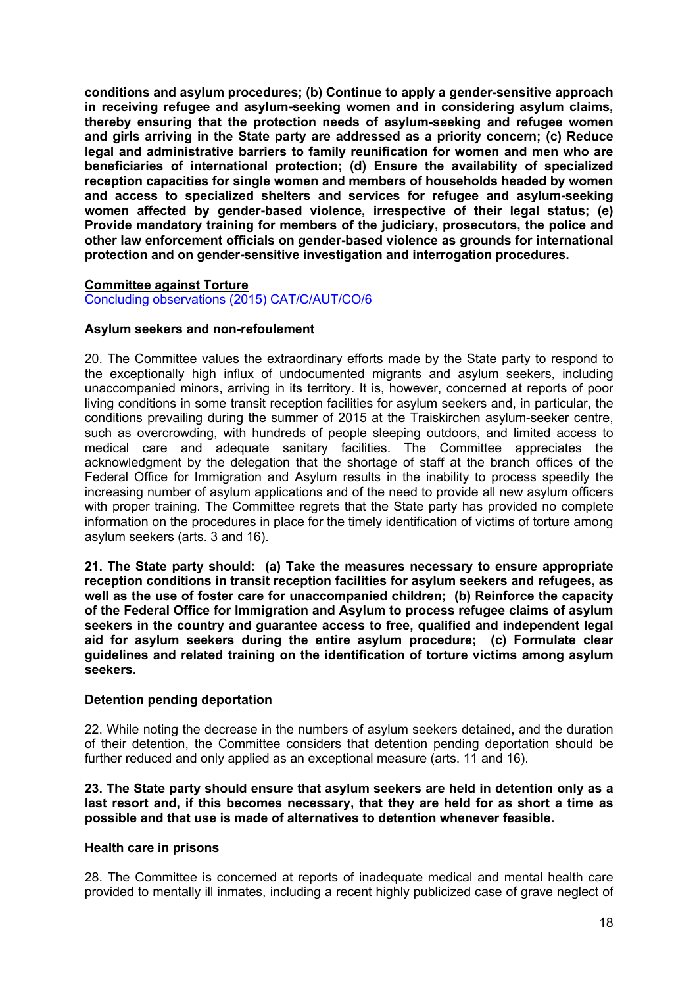**conditions and asylum procedures; (b) Continue to apply a gender-sensitive approach in receiving refugee and asylum-seeking women and in considering asylum claims, thereby ensuring that the protection needs of asylum-seeking and refugee women and girls arriving in the State party are addressed as a priority concern; (c) Reduce legal and administrative barriers to family reunification for women and men who are beneficiaries of international protection; (d) Ensure the availability of specialized reception capacities for single women and members of households headed by women and access to specialized shelters and services for refugee and asylum-seeking women affected by gender-based violence, irrespective of their legal status; (e) Provide mandatory training for members of the judiciary, prosecutors, the police and other law enforcement officials on gender-based violence as grounds for international protection and on gender-sensitive investigation and interrogation procedures.**

### **Committee against Torture**

Concluding observations (2015) CAT/C/AUT/CO/6

### **Asylum seekers and non-refoulement**

20. The Committee values the extraordinary efforts made by the State party to respond to the exceptionally high influx of undocumented migrants and asylum seekers, including unaccompanied minors, arriving in its territory. It is, however, concerned at reports of poor living conditions in some transit reception facilities for asylum seekers and, in particular, the conditions prevailing during the summer of 2015 at the Traiskirchen asylum-seeker centre, such as overcrowding, with hundreds of people sleeping outdoors, and limited access to medical care and adequate sanitary facilities. The Committee appreciates the acknowledgment by the delegation that the shortage of staff at the branch offices of the Federal Office for Immigration and Asylum results in the inability to process speedily the increasing number of asylum applications and of the need to provide all new asylum officers with proper training. The Committee regrets that the State party has provided no complete information on the procedures in place for the timely identification of victims of torture among asylum seekers (arts. 3 and 16).

**21. The State party should: (a) Take the measures necessary to ensure appropriate reception conditions in transit reception facilities for asylum seekers and refugees, as well as the use of foster care for unaccompanied children; (b) Reinforce the capacity of the Federal Office for Immigration and Asylum to process refugee claims of asylum seekers in the country and guarantee access to free, qualified and independent legal aid for asylum seekers during the entire asylum procedure; (c) Formulate clear guidelines and related training on the identification of torture victims among asylum seekers.**

#### **Detention pending deportation**

22. While noting the decrease in the numbers of asylum seekers detained, and the duration of their detention, the Committee considers that detention pending deportation should be further reduced and only applied as an exceptional measure (arts. 11 and 16).

**23. The State party should ensure that asylum seekers are held in detention only as a last resort and, if this becomes necessary, that they are held for as short a time as possible and that use is made of alternatives to detention whenever feasible.**

#### **Health care in prisons**

28. The Committee is concerned at reports of inadequate medical and mental health care provided to mentally ill inmates, including a recent highly publicized case of grave neglect of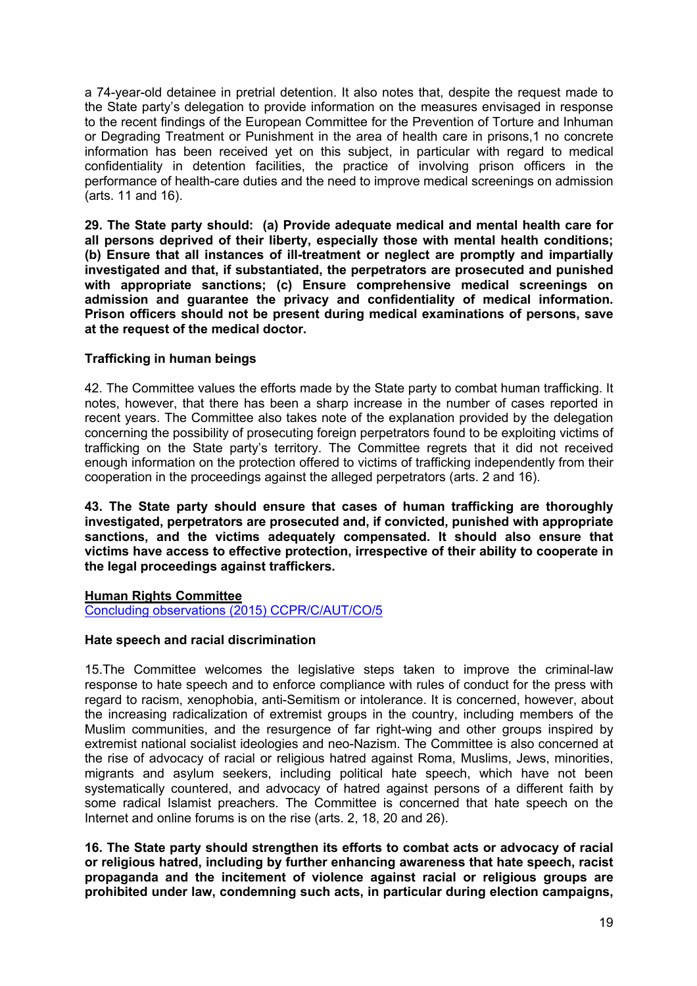a 74-year-old detainee in pretrial detention. It also notes that, despite the request made to the State party's delegation to provide information on the measures envisaged in response to the recent findings of the European Committee for the Prevention of Torture and Inhuman or Degrading Treatment or Punishment in the area of health care in prisons,1 no concrete information has been received yet on this subject, in particular with regard to medical confidentiality in detention facilities, the practice of involving prison officers in the performance of health-care duties and the need to improve medical screenings on admission (arts. 11 and 16).

**29. The State party should: (a) Provide adequate medical and mental health care for all persons deprived of their liberty, especially those with mental health conditions; (b) Ensure that all instances of ill-treatment or neglect are promptly and impartially investigated and that, if substantiated, the perpetrators are prosecuted and punished with appropriate sanctions; (c) Ensure comprehensive medical screenings on admission and guarantee the privacy and confidentiality of medical information. Prison officers should not be present during medical examinations of persons, save at the request of the medical doctor.**

## **Trafficking in human beings**

42. The Committee values the efforts made by the State party to combat human trafficking. It notes, however, that there has been a sharp increase in the number of cases reported in recent years. The Committee also takes note of the explanation provided by the delegation concerning the possibility of prosecuting foreign perpetrators found to be exploiting victims of trafficking on the State party's territory. The Committee regrets that it did not received enough information on the protection offered to victims of trafficking independently from their cooperation in the proceedings against the alleged perpetrators (arts. 2 and 16).

**43. The State party should ensure that cases of human trafficking are thoroughly investigated, perpetrators are prosecuted and, if convicted, punished with appropriate sanctions, and the victims adequately compensated. It should also ensure that victims have access to effective protection, irrespective of their ability to cooperate in the legal proceedings against traffickers.**

### **Human Rights Committee**

Concluding observations (2015) CCPR/C/AUT/CO/5

### **Hate speech and racial discrimination**

15.The Committee welcomes the legislative steps taken to improve the criminal-law response to hate speech and to enforce compliance with rules of conduct for the press with regard to racism, xenophobia, anti-Semitism or intolerance. It is concerned, however, about the increasing radicalization of extremist groups in the country, including members of the Muslim communities, and the resurgence of far right-wing and other groups inspired by extremist national socialist ideologies and neo-Nazism. The Committee is also concerned at the rise of advocacy of racial or religious hatred against Roma, Muslims, Jews, minorities, migrants and asylum seekers, including political hate speech, which have not been systematically countered, and advocacy of hatred against persons of a different faith by some radical Islamist preachers. The Committee is concerned that hate speech on the Internet and online forums is on the rise (arts. 2, 18, 20 and 26).

**16. The State party should strengthen its efforts to combat acts or advocacy of racial or religious hatred, including by further enhancing awareness that hate speech, racist propaganda and the incitement of violence against racial or religious groups are prohibited under law, condemning such acts, in particular during election campaigns,**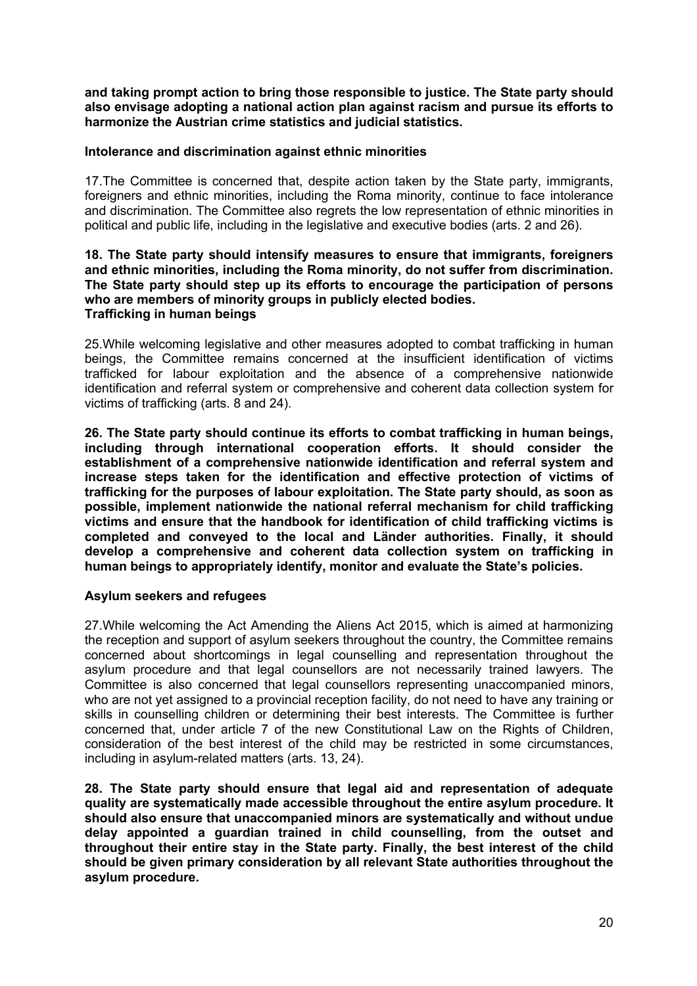**and taking prompt action to bring those responsible to justice. The State party should also envisage adopting a national action plan against racism and pursue its efforts to harmonize the Austrian crime statistics and judicial statistics.** 

#### **Intolerance and discrimination against ethnic minorities**

17.The Committee is concerned that, despite action taken by the State party, immigrants, foreigners and ethnic minorities, including the Roma minority, continue to face intolerance and discrimination. The Committee also regrets the low representation of ethnic minorities in political and public life, including in the legislative and executive bodies (arts. 2 and 26).

#### **18. The State party should intensify measures to ensure that immigrants, foreigners and ethnic minorities, including the Roma minority, do not suffer from discrimination. The State party should step up its efforts to encourage the participation of persons who are members of minority groups in publicly elected bodies. Trafficking in human beings**

25.While welcoming legislative and other measures adopted to combat trafficking in human beings, the Committee remains concerned at the insufficient identification of victims trafficked for labour exploitation and the absence of a comprehensive nationwide identification and referral system or comprehensive and coherent data collection system for victims of trafficking (arts. 8 and 24).

**26. The State party should continue its efforts to combat trafficking in human beings, including through international cooperation efforts. It should consider the establishment of a comprehensive nationwide identification and referral system and increase steps taken for the identification and effective protection of victims of trafficking for the purposes of labour exploitation. The State party should, as soon as possible, implement nationwide the national referral mechanism for child trafficking victims and ensure that the handbook for identification of child trafficking victims is completed and conveyed to the local and Länder authorities. Finally, it should develop a comprehensive and coherent data collection system on trafficking in human beings to appropriately identify, monitor and evaluate the State's policies.**

### **Asylum seekers and refugees**

27.While welcoming the Act Amending the Aliens Act 2015, which is aimed at harmonizing the reception and support of asylum seekers throughout the country, the Committee remains concerned about shortcomings in legal counselling and representation throughout the asylum procedure and that legal counsellors are not necessarily trained lawyers. The Committee is also concerned that legal counsellors representing unaccompanied minors, who are not yet assigned to a provincial reception facility, do not need to have any training or skills in counselling children or determining their best interests. The Committee is further concerned that, under article 7 of the new Constitutional Law on the Rights of Children, consideration of the best interest of the child may be restricted in some circumstances, including in asylum-related matters (arts. 13, 24).

**28. The State party should ensure that legal aid and representation of adequate quality are systematically made accessible throughout the entire asylum procedure. It should also ensure that unaccompanied minors are systematically and without undue delay appointed a guardian trained in child counselling, from the outset and throughout their entire stay in the State party. Finally, the best interest of the child should be given primary consideration by all relevant State authorities throughout the asylum procedure.**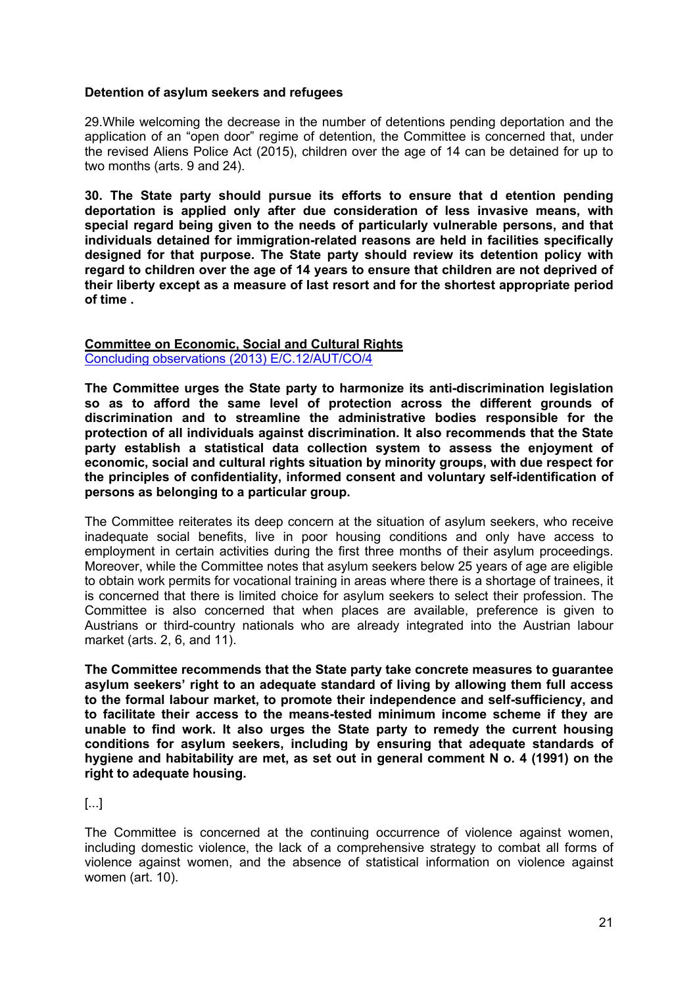#### **Detention of asylum seekers and refugees**

29.While welcoming the decrease in the number of detentions pending deportation and the application of an "open door" regime of detention, the Committee is concerned that, under the revised Aliens Police Act (2015), children over the age of 14 can be detained for up to two months (arts. 9 and 24).

**30. The State party should pursue its efforts to ensure that d etention pending deportation is applied only after due consideration of less invasive means, with special regard being given to the needs of particularly vulnerable persons, and that individuals detained for immigration-related reasons are held in facilities specifically designed for that purpose. The State party should review its detention policy with regard to children over the age of 14 years to ensure that children are not deprived of their liberty except as a measure of last resort and for the shortest appropriate period of time .**

#### **Committee on Economic, Social and Cultural Rights** Concluding observations (2013) E/C.12/AUT/CO/4

**The Committee urges the State party to harmonize its anti-discrimination legislation so as to afford the same level of protection across the different grounds of discrimination and to streamline the administrative bodies responsible for the protection of all individuals against discrimination. It also recommends that the State party establish a statistical data collection system to assess the enjoyment of economic, social and cultural rights situation by minority groups, with due respect for the principles of confidentiality, informed consent and voluntary self-identification of persons as belonging to a particular group.** 

The Committee reiterates its deep concern at the situation of asylum seekers, who receive inadequate social benefits, live in poor housing conditions and only have access to employment in certain activities during the first three months of their asylum proceedings. Moreover, while the Committee notes that asylum seekers below 25 years of age are eligible to obtain work permits for vocational training in areas where there is a shortage of trainees, it is concerned that there is limited choice for asylum seekers to select their profession. The Committee is also concerned that when places are available, preference is given to Austrians or third-country nationals who are already integrated into the Austrian labour market (arts. 2, 6, and 11).

**The Committee recommends that the State party take concrete measures to guarantee asylum seekers' right to an adequate standard of living by allowing them full access to the formal labour market, to promote their independence and self-sufficiency, and to facilitate their access to the means-tested minimum income scheme if they are unable to find work. It also urges the State party to remedy the current housing conditions for asylum seekers, including by ensuring that adequate standards of hygiene and habitability are met, as set out in general comment N o. 4 (1991) on the right to adequate housing.**

## [...]

The Committee is concerned at the continuing occurrence of violence against women, including domestic violence, the lack of a comprehensive strategy to combat all forms of violence against women, and the absence of statistical information on violence against women (art. 10).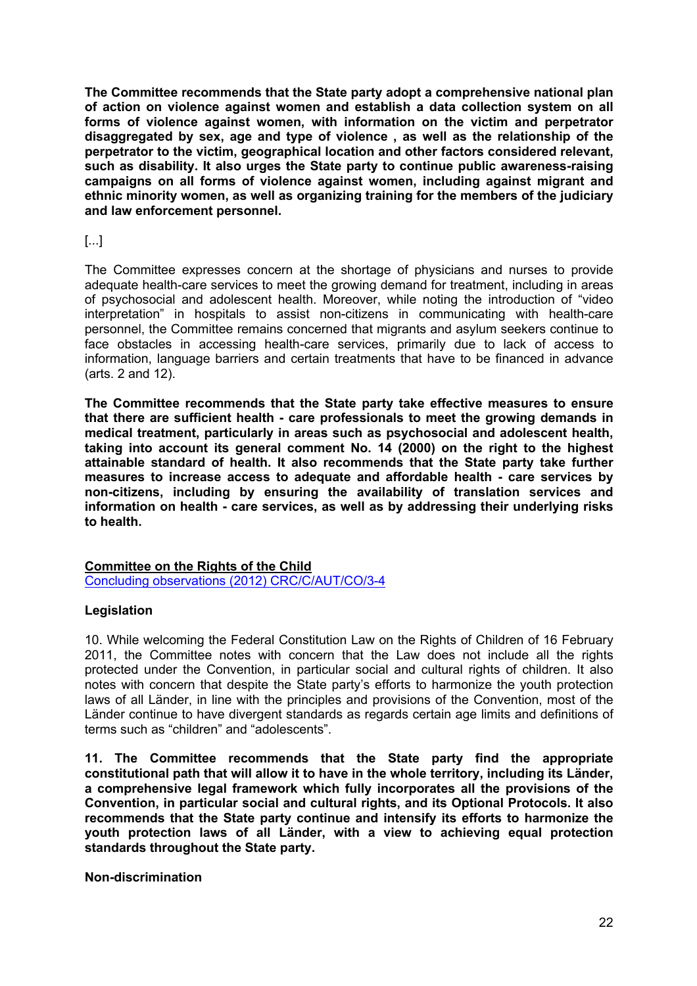**The Committee recommends that the State party adopt a comprehensive national plan of action on violence against women and establish a data collection system on all forms of violence against women, with information on the victim and perpetrator disaggregated by sex, age and type of violence , as well as the relationship of the perpetrator to the victim, geographical location and other factors considered relevant, such as disability. It also urges the State party to continue public awareness-raising campaigns on all forms of violence against women, including against migrant and ethnic minority women, as well as organizing training for the members of the judiciary and law enforcement personnel.** 

## [...]

The Committee expresses concern at the shortage of physicians and nurses to provide adequate health-care services to meet the growing demand for treatment, including in areas of psychosocial and adolescent health. Moreover, while noting the introduction of "video interpretation" in hospitals to assist non-citizens in communicating with health-care personnel, the Committee remains concerned that migrants and asylum seekers continue to face obstacles in accessing health-care services, primarily due to lack of access to information, language barriers and certain treatments that have to be financed in advance (arts. 2 and 12).

**The Committee recommends that the State party take effective measures to ensure that there are sufficient health - care professionals to meet the growing demands in medical treatment, particularly in areas such as psychosocial and adolescent health, taking into account its general comment No. 14 (2000) on the right to the highest attainable standard of health. It also recommends that the State party take further measures to increase access to adequate and affordable health - care services by non-citizens, including by ensuring the availability of translation services and information on health - care services, as well as by addressing their underlying risks to health.**

### **Committee on the Rights of the Child**

Concluding observations (2012) CRC/C/AUT/CO/3-4

### **Legislation**

10. While welcoming the Federal Constitution Law on the Rights of Children of 16 February 2011, the Committee notes with concern that the Law does not include all the rights protected under the Convention, in particular social and cultural rights of children. It also notes with concern that despite the State party's efforts to harmonize the youth protection laws of all Länder, in line with the principles and provisions of the Convention, most of the Länder continue to have divergent standards as regards certain age limits and definitions of terms such as "children" and "adolescents".

**11. The Committee recommends that the State party find the appropriate constitutional path that will allow it to have in the whole territory, including its Länder, a comprehensive legal framework which fully incorporates all the provisions of the Convention, in particular social and cultural rights, and its Optional Protocols. It also recommends that the State party continue and intensify its efforts to harmonize the youth protection laws of all Länder, with a view to achieving equal protection standards throughout the State party.**

### **Non-discrimination**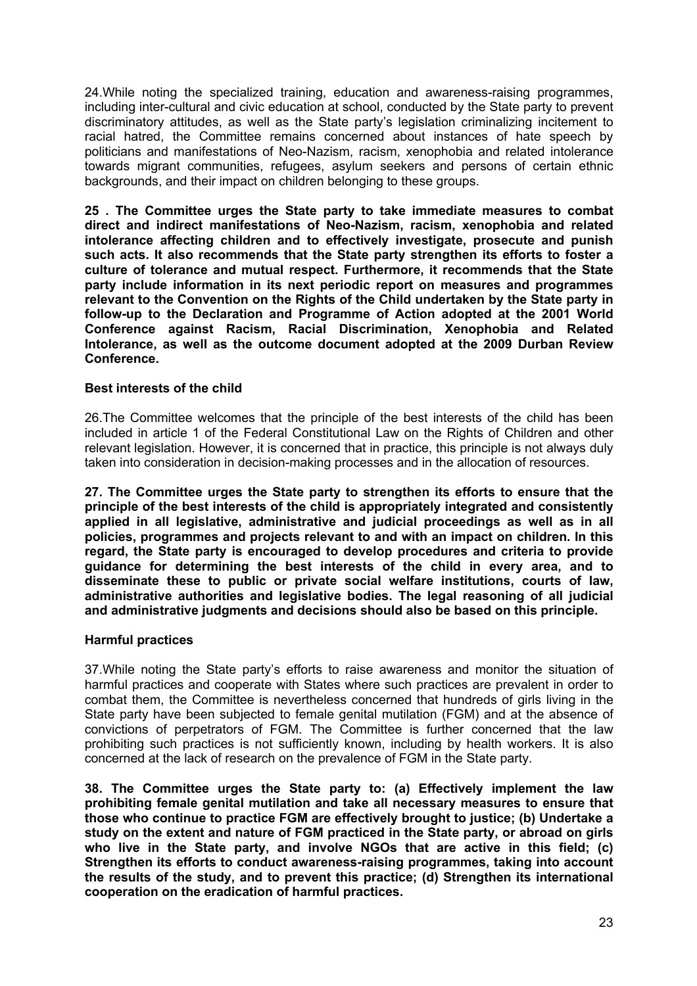24.While noting the specialized training, education and awareness-raising programmes, including inter-cultural and civic education at school, conducted by the State party to prevent discriminatory attitudes, as well as the State party's legislation criminalizing incitement to racial hatred, the Committee remains concerned about instances of hate speech by politicians and manifestations of Neo-Nazism, racism, xenophobia and related intolerance towards migrant communities, refugees, asylum seekers and persons of certain ethnic backgrounds, and their impact on children belonging to these groups.

**25 . The Committee urges the State party to take immediate measures to combat direct and indirect manifestations of Neo-Nazism, racism, xenophobia and related intolerance affecting children and to effectively investigate, prosecute and punish such acts. It also recommends that the State party strengthen its efforts to foster a culture of tolerance and mutual respect. Furthermore, it recommends that the State party include information in its next periodic report on measures and programmes relevant to the Convention on the Rights of the Child undertaken by the State party in follow-up to the Declaration and Programme of Action adopted at the 2001 World Conference against Racism, Racial Discrimination, Xenophobia and Related Intolerance, as well as the outcome document adopted at the 2009 Durban Review Conference.** 

### **Best interests of the child**

26.The Committee welcomes that the principle of the best interests of the child has been included in article 1 of the Federal Constitutional Law on the Rights of Children and other relevant legislation. However, it is concerned that in practice, this principle is not always duly taken into consideration in decision-making processes and in the allocation of resources.

**27. The Committee urges the State party to strengthen its efforts to ensure that the principle of the best interests of the child is appropriately integrated and consistently applied in all legislative, administrative and judicial proceedings as well as in all policies, programmes and projects relevant to and with an impact on children. In this regard, the State party is encouraged to develop procedures and criteria to provide guidance for determining the best interests of the child in every area, and to disseminate these to public or private social welfare institutions, courts of law, administrative authorities and legislative bodies. The legal reasoning of all judicial and administrative judgments and decisions should also be based on this principle.**

### **Harmful practices**

37.While noting the State party's efforts to raise awareness and monitor the situation of harmful practices and cooperate with States where such practices are prevalent in order to combat them, the Committee is nevertheless concerned that hundreds of girls living in the State party have been subjected to female genital mutilation (FGM) and at the absence of convictions of perpetrators of FGM. The Committee is further concerned that the law prohibiting such practices is not sufficiently known, including by health workers. It is also concerned at the lack of research on the prevalence of FGM in the State party.

**38. The Committee urges the State party to: (a) Effectively implement the law prohibiting female genital mutilation and take all necessary measures to ensure that those who continue to practice FGM are effectively brought to justice; (b) Undertake a study on the extent and nature of FGM practiced in the State party, or abroad on girls who live in the State party, and involve NGOs that are active in this field; (c) Strengthen its efforts to conduct awareness-raising programmes, taking into account the results of the study, and to prevent this practice; (d) Strengthen its international cooperation on the eradication of harmful practices.**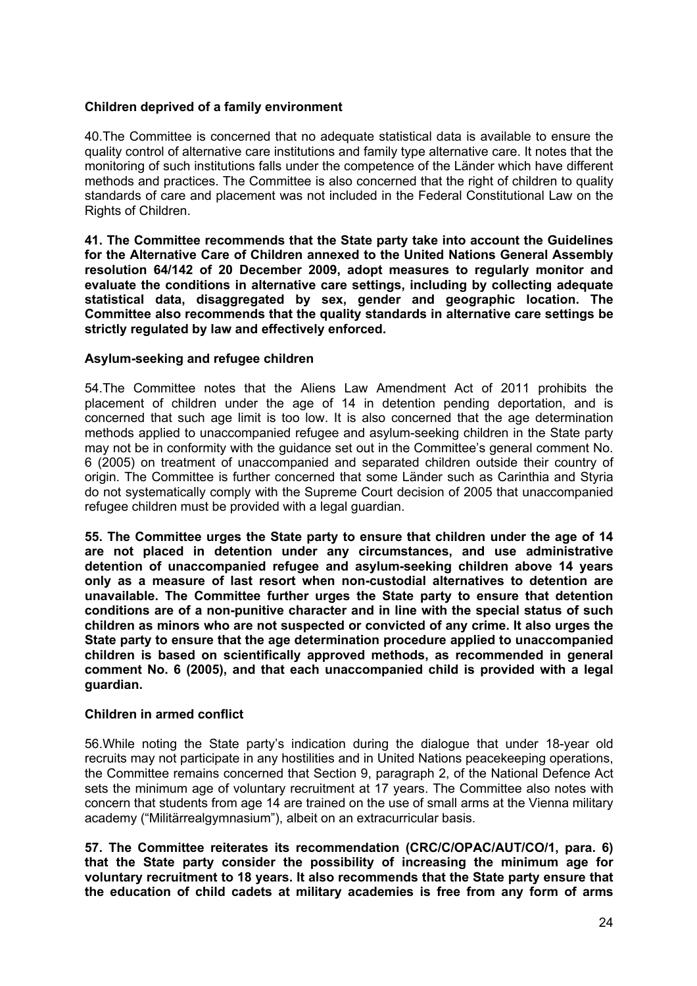### **Children deprived of a family environment**

40.The Committee is concerned that no adequate statistical data is available to ensure the quality control of alternative care institutions and family type alternative care. It notes that the monitoring of such institutions falls under the competence of the Länder which have different methods and practices. The Committee is also concerned that the right of children to quality standards of care and placement was not included in the Federal Constitutional Law on the Rights of Children.

**41. The Committee recommends that the State party take into account the Guidelines for the Alternative Care of Children annexed to the United Nations General Assembly resolution 64/142 of 20 December 2009, adopt measures to regularly monitor and evaluate the conditions in alternative care settings, including by collecting adequate statistical data, disaggregated by sex, gender and geographic location. The Committee also recommends that the quality standards in alternative care settings be strictly regulated by law and effectively enforced.**

### **Asylum-seeking and refugee children**

54.The Committee notes that the Aliens Law Amendment Act of 2011 prohibits the placement of children under the age of 14 in detention pending deportation, and is concerned that such age limit is too low. It is also concerned that the age determination methods applied to unaccompanied refugee and asylum-seeking children in the State party may not be in conformity with the guidance set out in the Committee's general comment No. 6 (2005) on treatment of unaccompanied and separated children outside their country of origin. The Committee is further concerned that some Länder such as Carinthia and Styria do not systematically comply with the Supreme Court decision of 2005 that unaccompanied refugee children must be provided with a legal guardian.

**55. The Committee urges the State party to ensure that children under the age of 14 are not placed in detention under any circumstances, and use administrative detention of unaccompanied refugee and asylum-seeking children above 14 years only as a measure of last resort when non-custodial alternatives to detention are unavailable. The Committee further urges the State party to ensure that detention conditions are of a non-punitive character and in line with the special status of such children as minors who are not suspected or convicted of any crime. It also urges the State party to ensure that the age determination procedure applied to unaccompanied children is based on scientifically approved methods, as recommended in general comment No. 6 (2005), and that each unaccompanied child is provided with a legal guardian.**

### **Children in armed conflict**

56.While noting the State party's indication during the dialogue that under 18-year old recruits may not participate in any hostilities and in United Nations peacekeeping operations, the Committee remains concerned that Section 9, paragraph 2, of the National Defence Act sets the minimum age of voluntary recruitment at 17 years. The Committee also notes with concern that students from age 14 are trained on the use of small arms at the Vienna military academy ("Militärrealgymnasium"), albeit on an extracurricular basis.

**57. The Committee reiterates its recommendation (CRC/C/OPAC/AUT/CO/1, para. 6) that the State party consider the possibility of increasing the minimum age for voluntary recruitment to 18 years. It also recommends that the State party ensure that the education of child cadets at military academies is free from any form of arms**